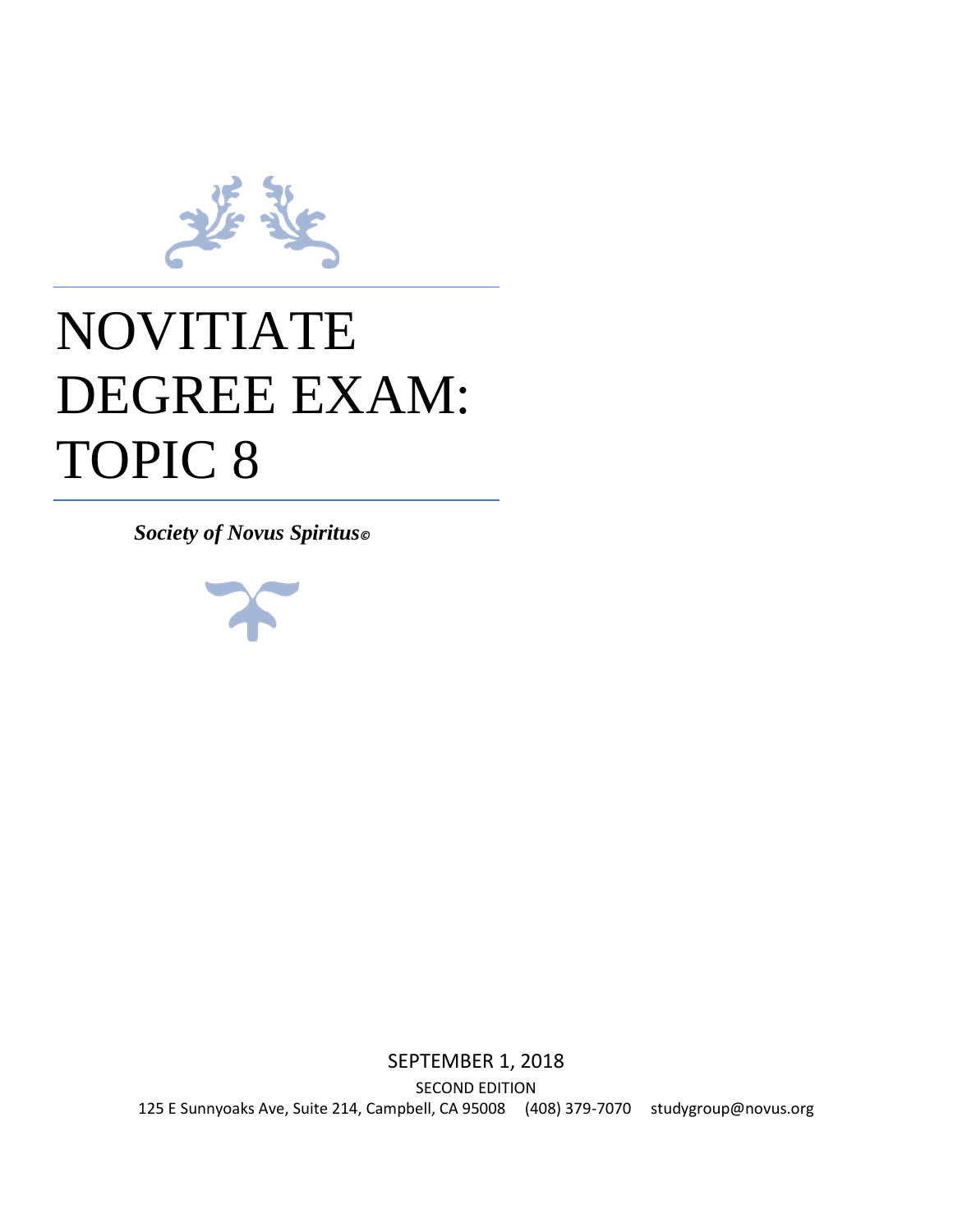

# NOVITIATE DEGREE EXAM: TOPIC 8

*Society of Novus Spiritus©*



SEPTEMBER 1, 2018 SECOND EDITION 125 E Sunnyoaks Ave, Suite 214, Campbell, CA 95008 (408) 379-7070 studygroup@novus.org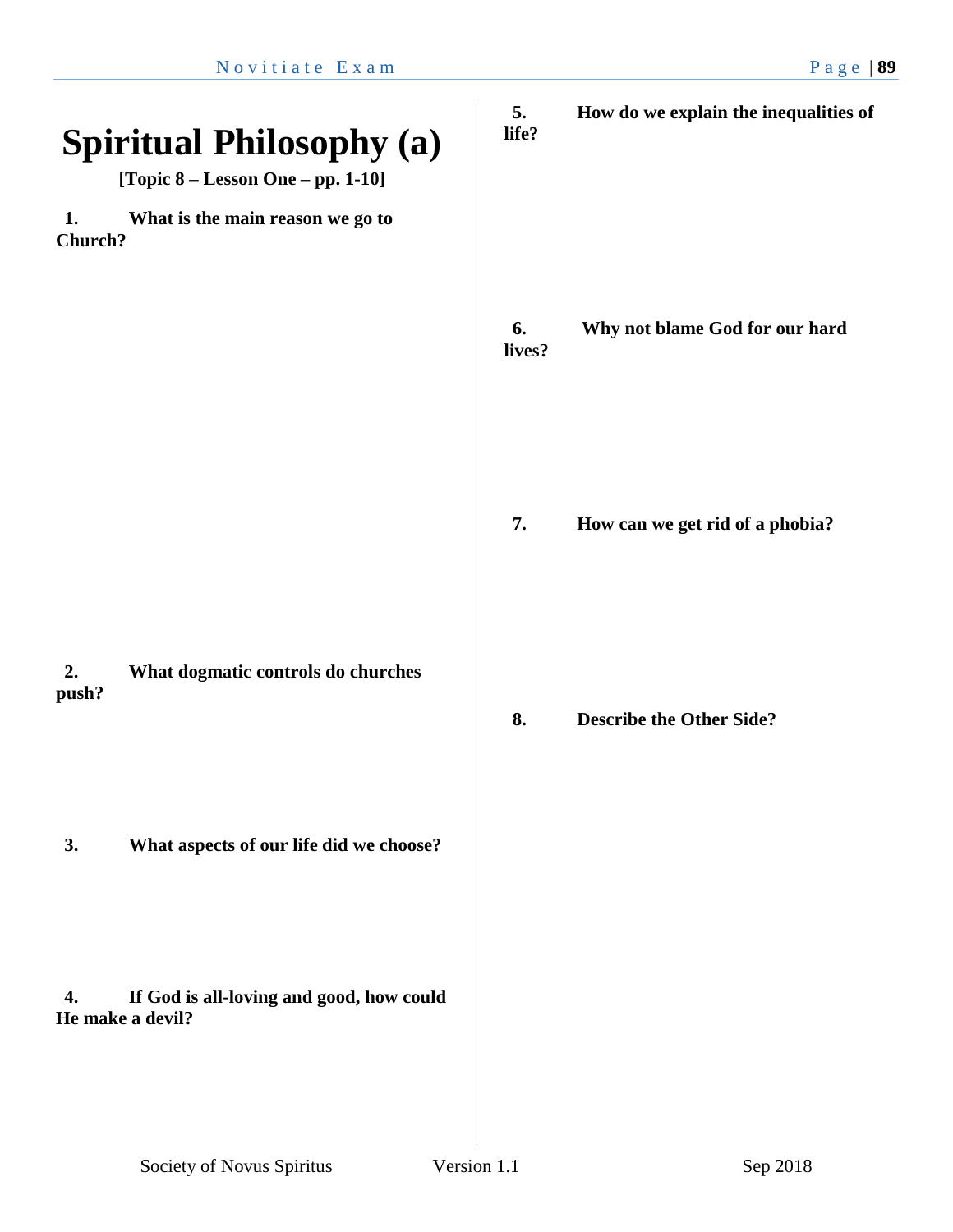| <b>Spiritual Philosophy (a)</b><br>[Topic 8 - Lesson One - pp. 1-10] | 5.<br>life?  | How do we explain the inequalities of |
|----------------------------------------------------------------------|--------------|---------------------------------------|
| What is the main reason we go to<br>1.<br>Church?                    |              |                                       |
|                                                                      | 6.<br>lives? | Why not blame God for our hard        |
|                                                                      | 7.           | How can we get rid of a phobia?       |
| 2.<br>What dogmatic controls do churches<br>push?                    | 8.           | <b>Describe the Other Side?</b>       |
| What aspects of our life did we choose?<br>3.                        |              |                                       |
| If God is all-loving and good, how could<br>4.<br>He make a devil?   |              |                                       |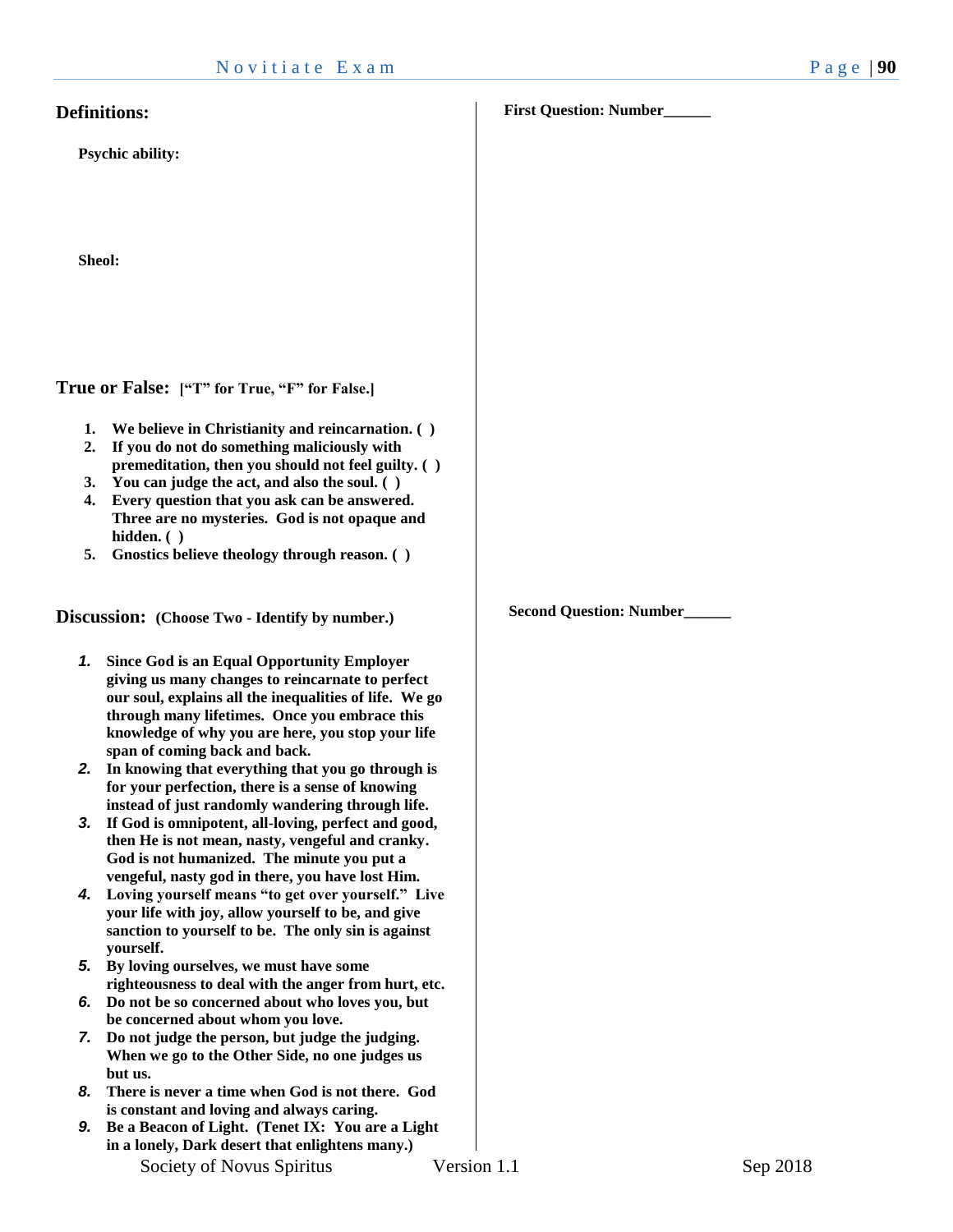#### **Definitions:**

**Psychic ability:**

**Sheol:** 

**True or False: ["T" for True, "F" for False.]**

- **1. We believe in Christianity and reincarnation. ( )**
- **2. If you do not do something maliciously with premeditation, then you should not feel guilty. ( )**
- **3. You can judge the act, and also the soul. ( )**
- **4. Every question that you ask can be answered. Three are no mysteries. God is not opaque and hidden. ( )**
- **5. Gnostics believe theology through reason. ( )**

**Discussion: (Choose Two - Identify by number.)**

- *1.* **Since God is an Equal Opportunity Employer giving us many changes to reincarnate to perfect our soul, explains all the inequalities of life. We go through many lifetimes. Once you embrace this knowledge of why you are here, you stop your life span of coming back and back.**
- *2.* **In knowing that everything that you go through is for your perfection, there is a sense of knowing instead of just randomly wandering through life.**
- *3.* **If God is omnipotent, all-loving, perfect and good, then He is not mean, nasty, vengeful and cranky. God is not humanized. The minute you put a vengeful, nasty god in there, you have lost Him.**
- *4.* **Loving yourself means "to get over yourself." Live your life with joy, allow yourself to be, and give sanction to yourself to be. The only sin is against yourself.**
- *5.* **By loving ourselves, we must have some righteousness to deal with the anger from hurt, etc.**
- *6.* **Do not be so concerned about who loves you, but be concerned about whom you love.**
- *7.* **Do not judge the person, but judge the judging. When we go to the Other Side, no one judges us but us.**
- *8.* **There is never a time when God is not there. God is constant and loving and always caring.**
- *9.* **Be a Beacon of Light. (Tenet IX: You are a Light in a lonely, Dark desert that enlightens many.)**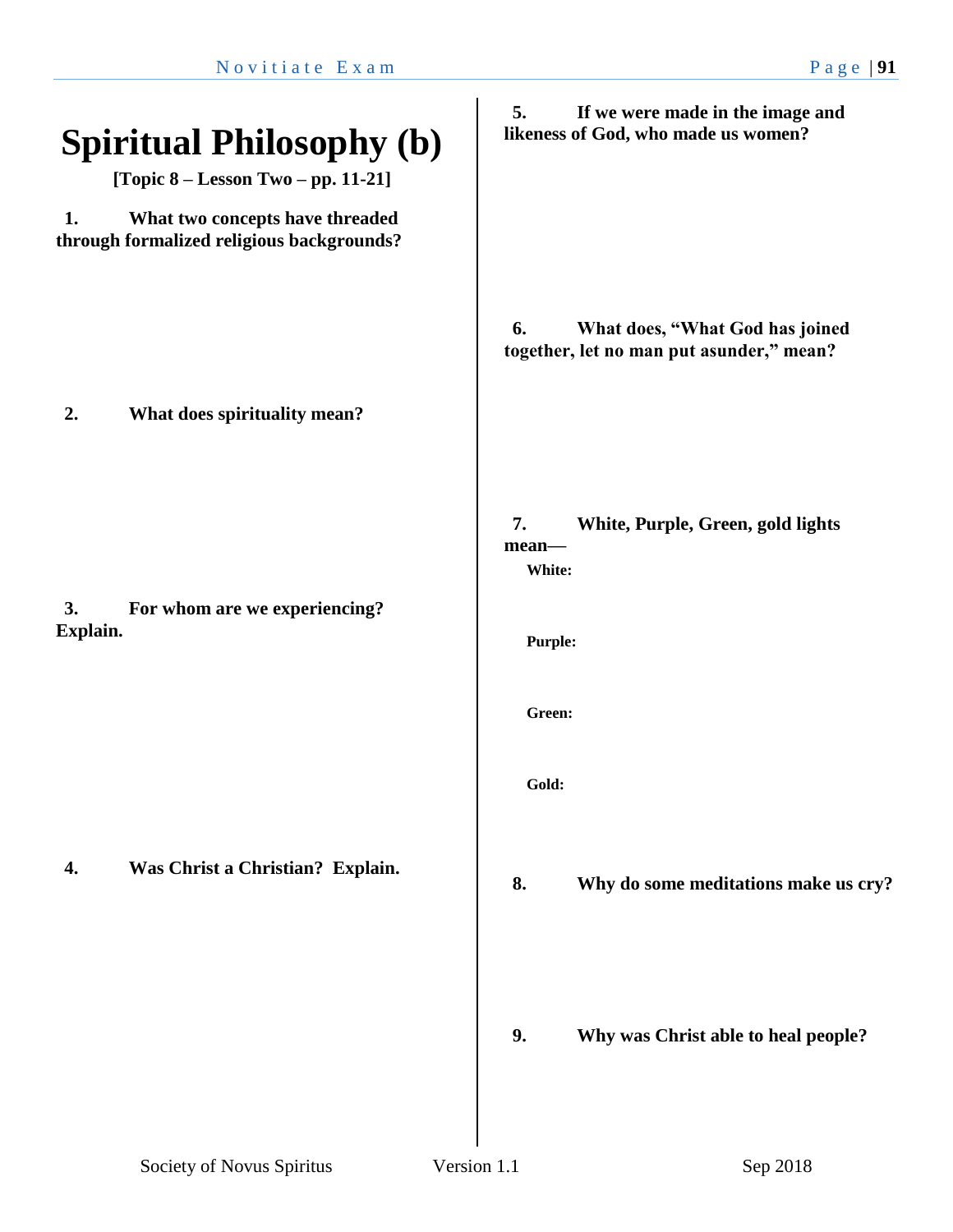| What does, "What God has joined<br>together, let no man put asunder," mean? |
|-----------------------------------------------------------------------------|
|                                                                             |
| White, Purple, Green, gold lights                                           |
|                                                                             |
|                                                                             |
|                                                                             |
| Why do some meditations make us cry?                                        |
| Why was Christ able to heal people?                                         |
|                                                                             |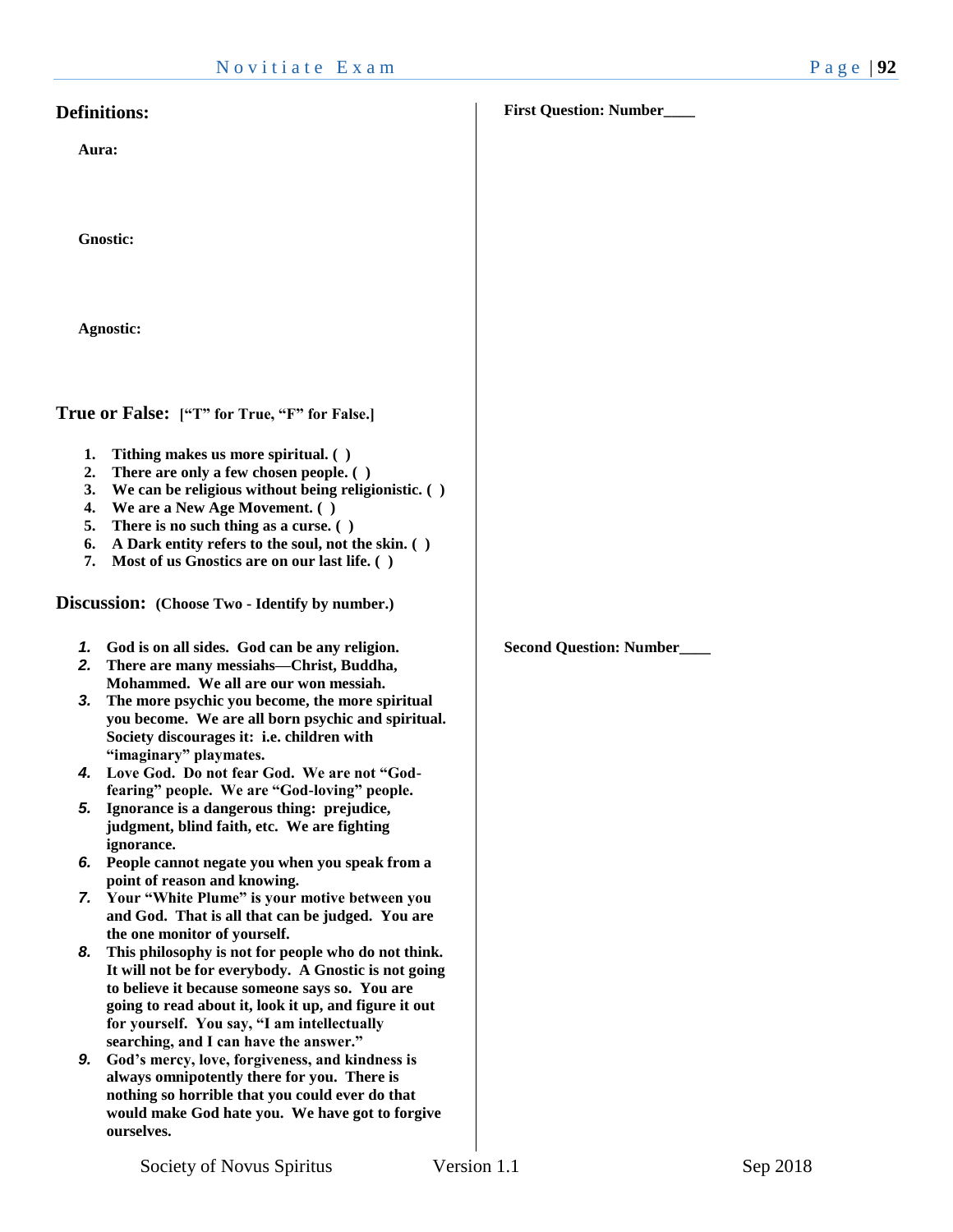#### **Definitions:**

**Aura:**

**Gnostic:**

**Agnostic:**

**True or False: ["T" for True, "F" for False.]**

- **1. Tithing makes us more spiritual. ( )**
- **2. There are only a few chosen people. ( )**
- **3. We can be religious without being religionistic. ( )**
- **4. We are a New Age Movement. ( )**
- **5. There is no such thing as a curse. ( )**
- **6. A Dark entity refers to the soul, not the skin. ( )**
- **7. Most of us Gnostics are on our last life. ( )**

**Discussion: (Choose Two - Identify by number.)**

- *1.* **God is on all sides. God can be any religion.**
- *2.* **There are many messiahs—Christ, Buddha, Mohammed. We all are our won messiah.**
- *3.* **The more psychic you become, the more spiritual you become. We are all born psychic and spiritual. Society discourages it: i.e. children with "imaginary" playmates.**
- *4.* **Love God. Do not fear God. We are not "Godfearing" people. We are "God-loving" people.**
- *5.* **Ignorance is a dangerous thing: prejudice, judgment, blind faith, etc. We are fighting ignorance.**
- *6.* **People cannot negate you when you speak from a point of reason and knowing.**
- *7.* **Your "White Plume" is your motive between you and God. That is all that can be judged. You are the one monitor of yourself.**
- *8.* **This philosophy is not for people who do not think. It will not be for everybody. A Gnostic is not going to believe it because someone says so. You are going to read about it, look it up, and figure it out for yourself. You say, "I am intellectually searching, and I can have the answer."**
- *9.* **God's mercy, love, forgiveness, and kindness is always omnipotently there for you. There is nothing so horrible that you could ever do that would make God hate you. We have got to forgive ourselves.**

**First Question: Number\_\_\_\_**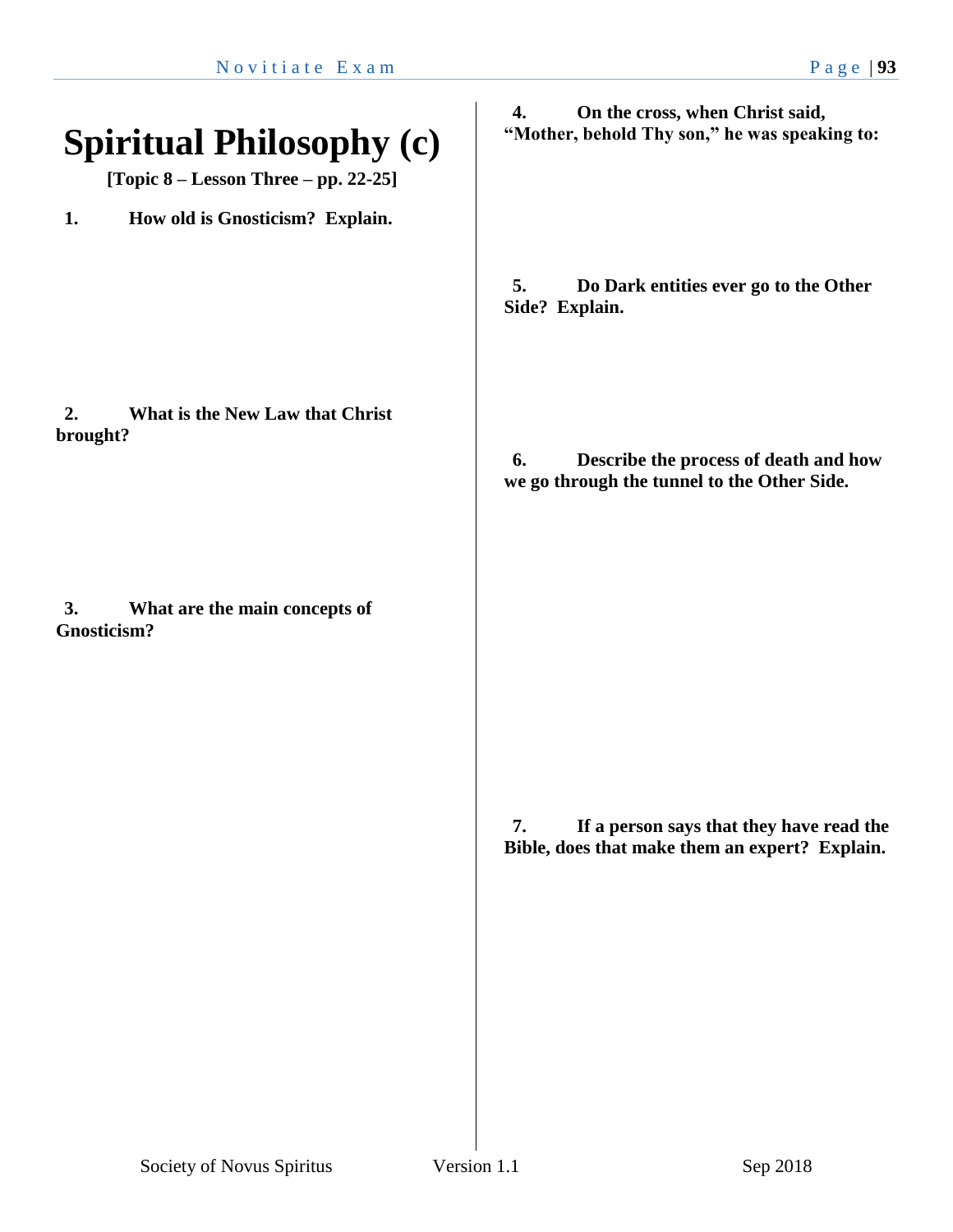| <b>Spiritual Philosophy (c)</b><br>[Topic 8 – Lesson Three – pp. 22-25] | On the cross, when Christ said,<br>4.<br>"Mother, behold Thy son," he was speaking to:           |
|-------------------------------------------------------------------------|--------------------------------------------------------------------------------------------------|
| How old is Gnosticism? Explain.<br>1.                                   |                                                                                                  |
|                                                                         | Do Dark entities ever go to the Other<br>5.<br>Side? Explain.                                    |
| What is the New Law that Christ<br>2.<br>brought?                       | Describe the process of death and how<br>6.<br>we go through the tunnel to the Other Side.       |
| 3.<br>What are the main concepts of<br><b>Gnosticism?</b>               |                                                                                                  |
|                                                                         | If a person says that they have read the<br>7.<br>Bible, does that make them an expert? Explain. |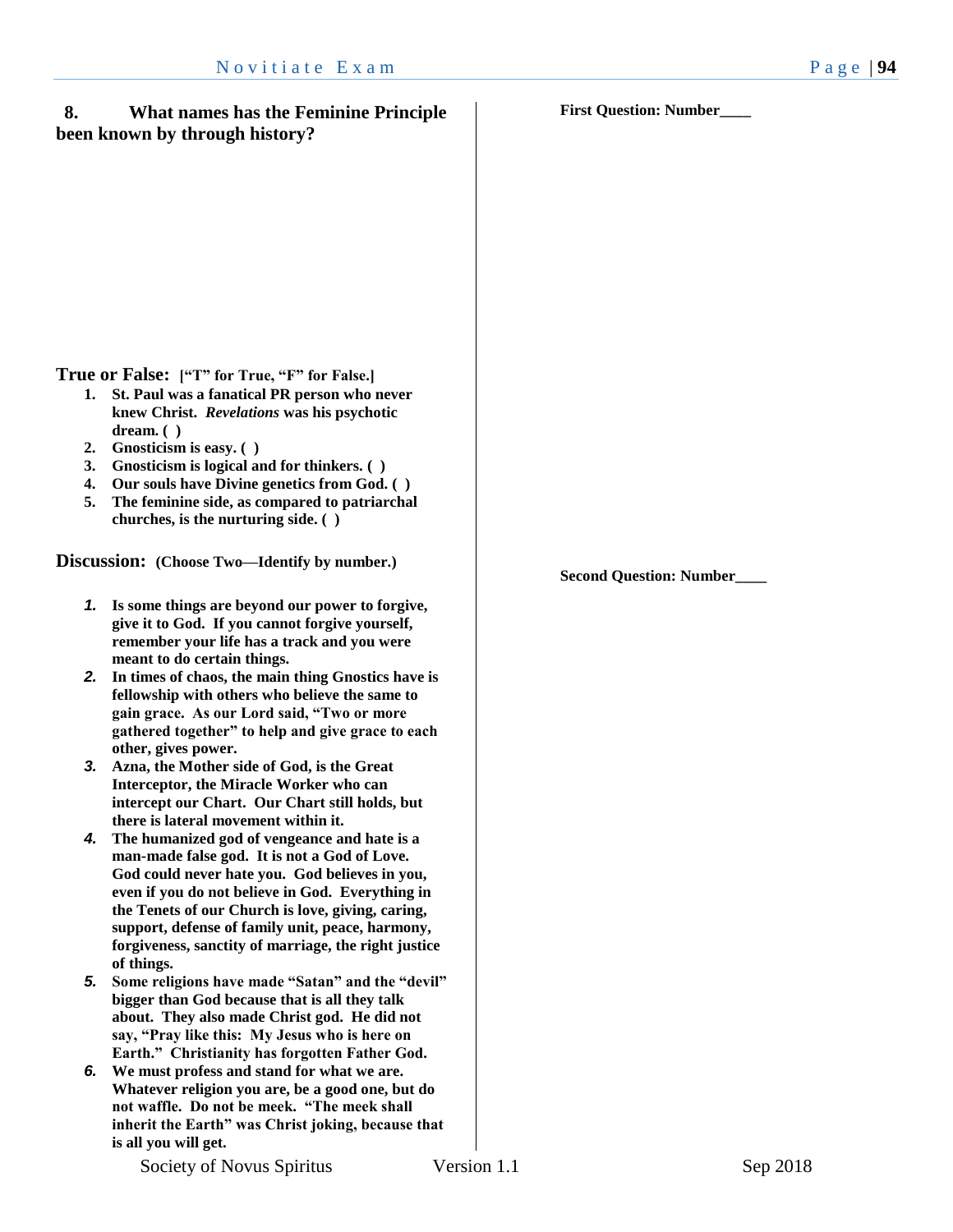- **1. St. Paul was a fanatical PR person who never knew Christ.** *Revelations* **was his psychotic dream. ( )**
- **2. Gnosticism is easy. ( )**
- **3. Gnosticism is logical and for thinkers. ( )**
- **4. Our souls have Divine genetics from God. ( )**
- **5. The feminine side, as compared to patriarchal churches, is the nurturing side. ( )**

**Discussion: (Choose Two—Identify by number.)**

- *1.* **Is some things are beyond our power to forgive, give it to God. If you cannot forgive yourself, remember your life has a track and you were meant to do certain things.**
- *2.* **In times of chaos, the main thing Gnostics have is fellowship with others who believe the same to gain grace. As our Lord said, "Two or more gathered together" to help and give grace to each other, gives power.**
- *3.* **Azna, the Mother side of God, is the Great Interceptor, the Miracle Worker who can intercept our Chart. Our Chart still holds, but there is lateral movement within it.**
- *4.* **The humanized god of vengeance and hate is a man-made false god. It is not a God of Love. God could never hate you. God believes in you, even if you do not believe in God. Everything in the Tenets of our Church is love, giving, caring, support, defense of family unit, peace, harmony, forgiveness, sanctity of marriage, the right justice of things.**
- *5.* **Some religions have made "Satan" and the "devil" bigger than God because that is all they talk about. They also made Christ god. He did not say, "Pray like this: My Jesus who is here on Earth." Christianity has forgotten Father God.**
- *6.* **We must profess and stand for what we are. Whatever religion you are, be a good one, but do not waffle. Do not be meek. "The meek shall inherit the Earth" was Christ joking, because that is all you will get.**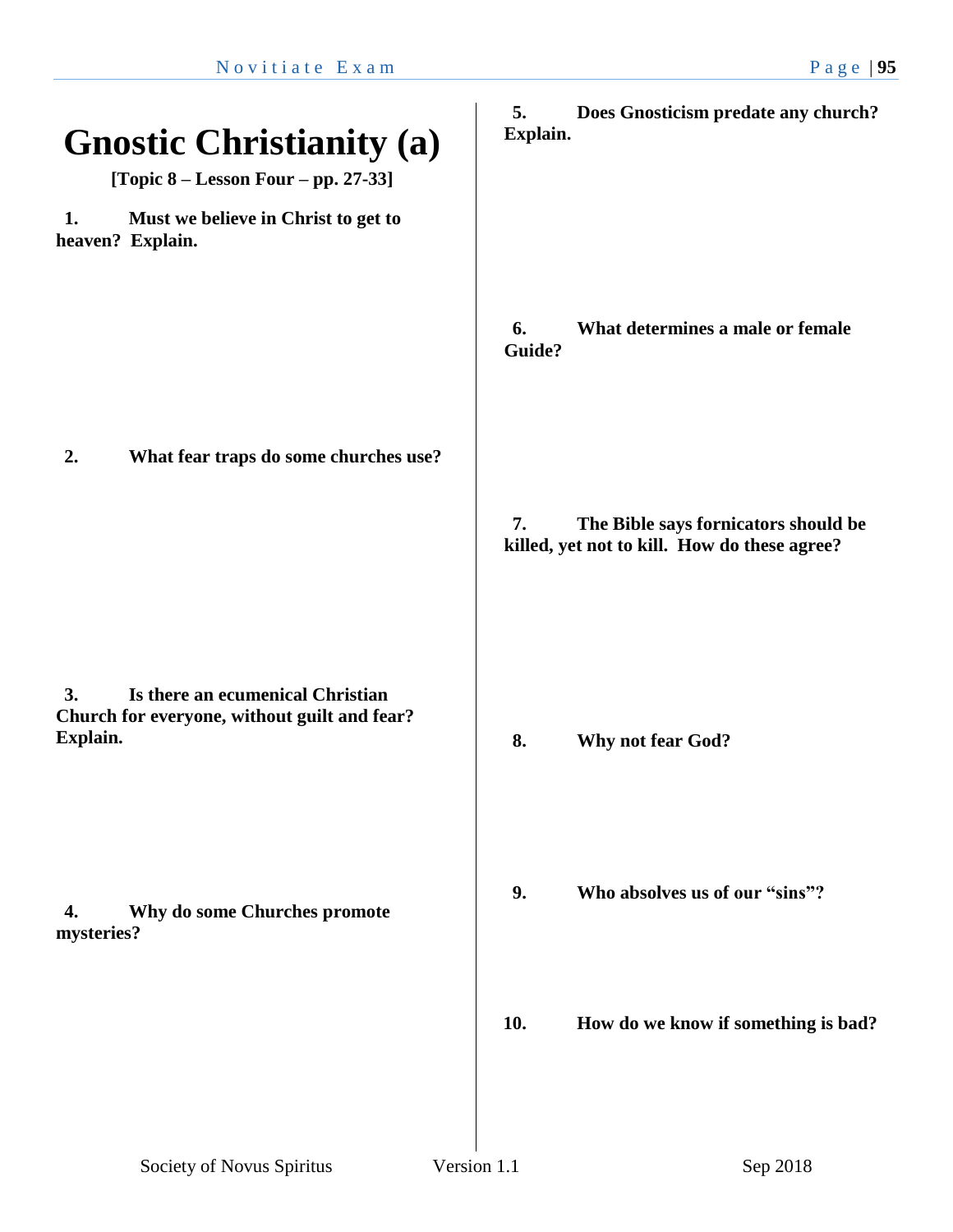| <b>Gnostic Christianity (a)</b><br>[Topic $8 -$ Lesson Four - pp. 27-33]                           | 5.<br>Does Gnosticism predate any church?<br>Explain.                                      |
|----------------------------------------------------------------------------------------------------|--------------------------------------------------------------------------------------------|
| 1.<br>Must we believe in Christ to get to<br>heaven? Explain.                                      |                                                                                            |
|                                                                                                    | What determines a male or female<br>6.<br>Guide?                                           |
| What fear traps do some churches use?<br>2.                                                        | 7.<br>The Bible says fornicators should be<br>killed, yet not to kill. How do these agree? |
| 3.<br>Is there an ecumenical Christian<br>Church for everyone, without guilt and fear?<br>Explain. | 8.<br>Why not fear God?                                                                    |
| Why do some Churches promote<br>4.<br>mysteries?                                                   | 9.<br>Who absolves us of our "sins"?                                                       |
|                                                                                                    | 10.<br>How do we know if something is bad?                                                 |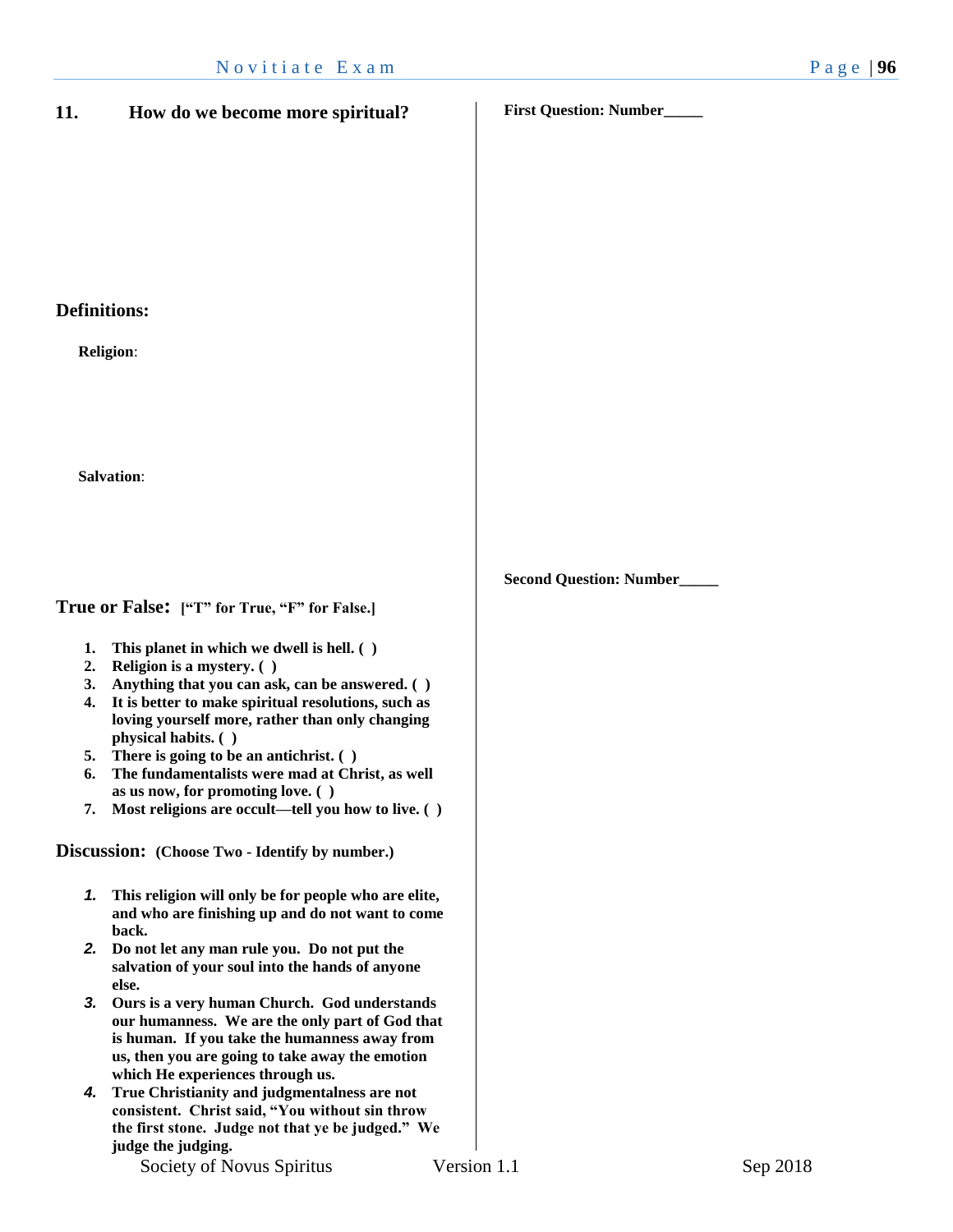# N o vitiate E x a m P a g e | 96 **11. How do we become more spiritual? Definitions: Religion**: **Salvation**: **True or False: ["T" for True, "F" for False.] 1. This planet in which we dwell is hell. ( ) 2. Religion is a mystery. ( ) 3. Anything that you can ask, can be answered. ( ) 4. It is better to make spiritual resolutions, such as loving yourself more, rather than only changing physical habits. ( ) 5. There is going to be an antichrist. ( ) 6. The fundamentalists were mad at Christ, as well First Question: Number\_\_\_\_\_ Second Question: Number\_\_\_\_\_**

Society of Novus Spiritus Version 1.1 Sep 2018

**which He experiences through us.**

**judge the judging.** 

**as us now, for promoting love. ( )**

**Discussion: (Choose Two - Identify by number.)**

**back.**

**else.**

**7. Most religions are occult—tell you how to live. ( )**

*1.* **This religion will only be for people who are elite, and who are finishing up and do not want to come** 

*3.* **Ours is a very human Church. God understands our humanness. We are the only part of God that is human. If you take the humanness away from us, then you are going to take away the emotion** 

*4.* **True Christianity and judgmentalness are not consistent. Christ said, "You without sin throw the first stone. Judge not that ye be judged." We** 

*2.* **Do not let any man rule you. Do not put the salvation of your soul into the hands of anyone**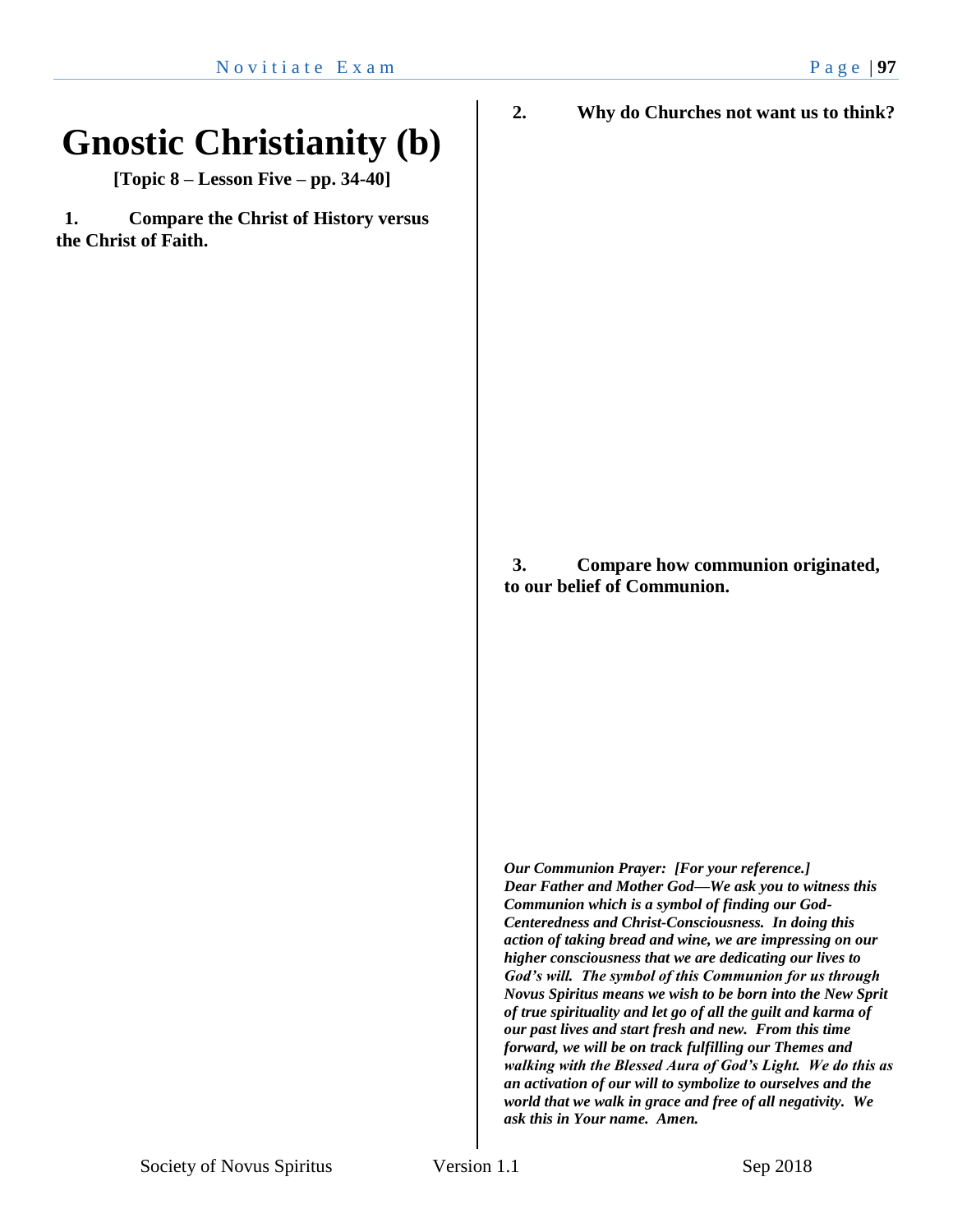## **Gnostic Christianity (b)**

**[Topic 8 – Lesson Five – pp. 34-40]**

**1. Compare the Christ of History versus the Christ of Faith.** 

> **3. Compare how communion originated, to our belief of Communion.**

**2. Why do Churches not want us to think?**

*Our Communion Prayer: [For your reference.] Dear Father and Mother God—We ask you to witness this Communion which is a symbol of finding our God-Centeredness and Christ-Consciousness. In doing this action of taking bread and wine, we are impressing on our higher consciousness that we are dedicating our lives to God's will. The symbol of this Communion for us through Novus Spiritus means we wish to be born into the New Sprit of true spirituality and let go of all the guilt and karma of our past lives and start fresh and new. From this time forward, we will be on track fulfilling our Themes and walking with the Blessed Aura of God's Light. We do this as an activation of our will to symbolize to ourselves and the world that we walk in grace and free of all negativity. We ask this in Your name. Amen.*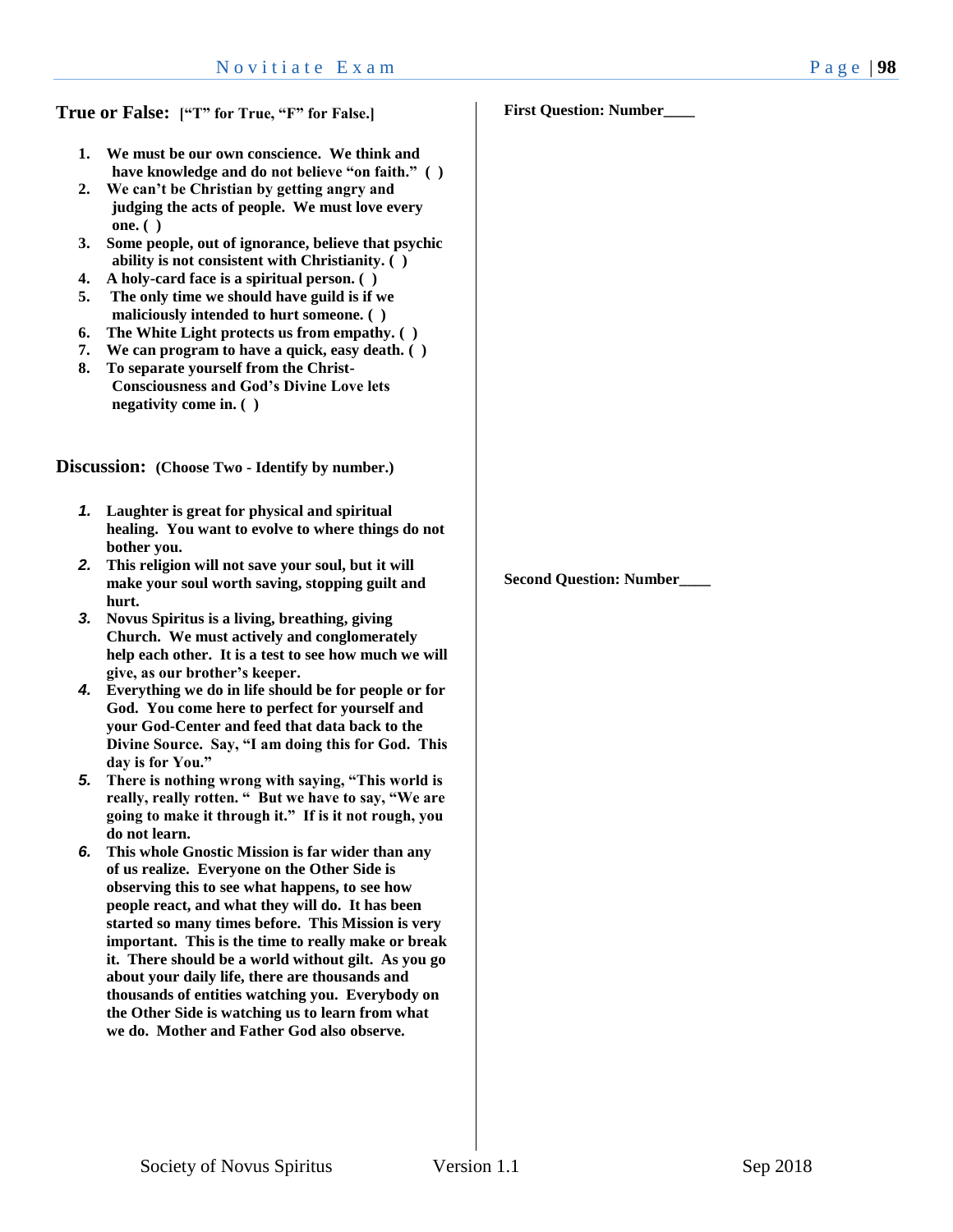- **1. We must be our own conscience. We think and have knowledge and do not believe "on faith." ( )**
- **2. We can't be Christian by getting angry and judging the acts of people. We must love every one. ( )**
- **3. Some people, out of ignorance, believe that psychic ability is not consistent with Christianity. ( )**
- **4. A holy-card face is a spiritual person. ( )**
- **5. The only time we should have guild is if we maliciously intended to hurt someone. ( )**
- **6. The White Light protects us from empathy. ( )**
- **7. We can program to have a quick, easy death. ( )**
- **8. To separate yourself from the Christ-Consciousness and God's Divine Love lets negativity come in. ( )**

**Discussion: (Choose Two - Identify by number.)**

- *1.* **Laughter is great for physical and spiritual healing. You want to evolve to where things do not bother you.**
- *2.* **This religion will not save your soul, but it will make your soul worth saving, stopping guilt and hurt.**
- *3.* **Novus Spiritus is a living, breathing, giving Church. We must actively and conglomerately help each other. It is a test to see how much we will give, as our brother's keeper.**
- *4.* **Everything we do in life should be for people or for God. You come here to perfect for yourself and your God-Center and feed that data back to the Divine Source. Say, "I am doing this for God. This day is for You."**
- *5.* **There is nothing wrong with saying, "This world is really, really rotten. " But we have to say, "We are going to make it through it." If is it not rough, you do not learn.**
- *6.* **This whole Gnostic Mission is far wider than any of us realize. Everyone on the Other Side is observing this to see what happens, to see how people react, and what they will do. It has been started so many times before. This Mission is very important. This is the time to really make or break it. There should be a world without gilt. As you go about your daily life, there are thousands and thousands of entities watching you. Everybody on the Other Side is watching us to learn from what we do. Mother and Father God also observe.**

**First Question: Number\_\_\_\_**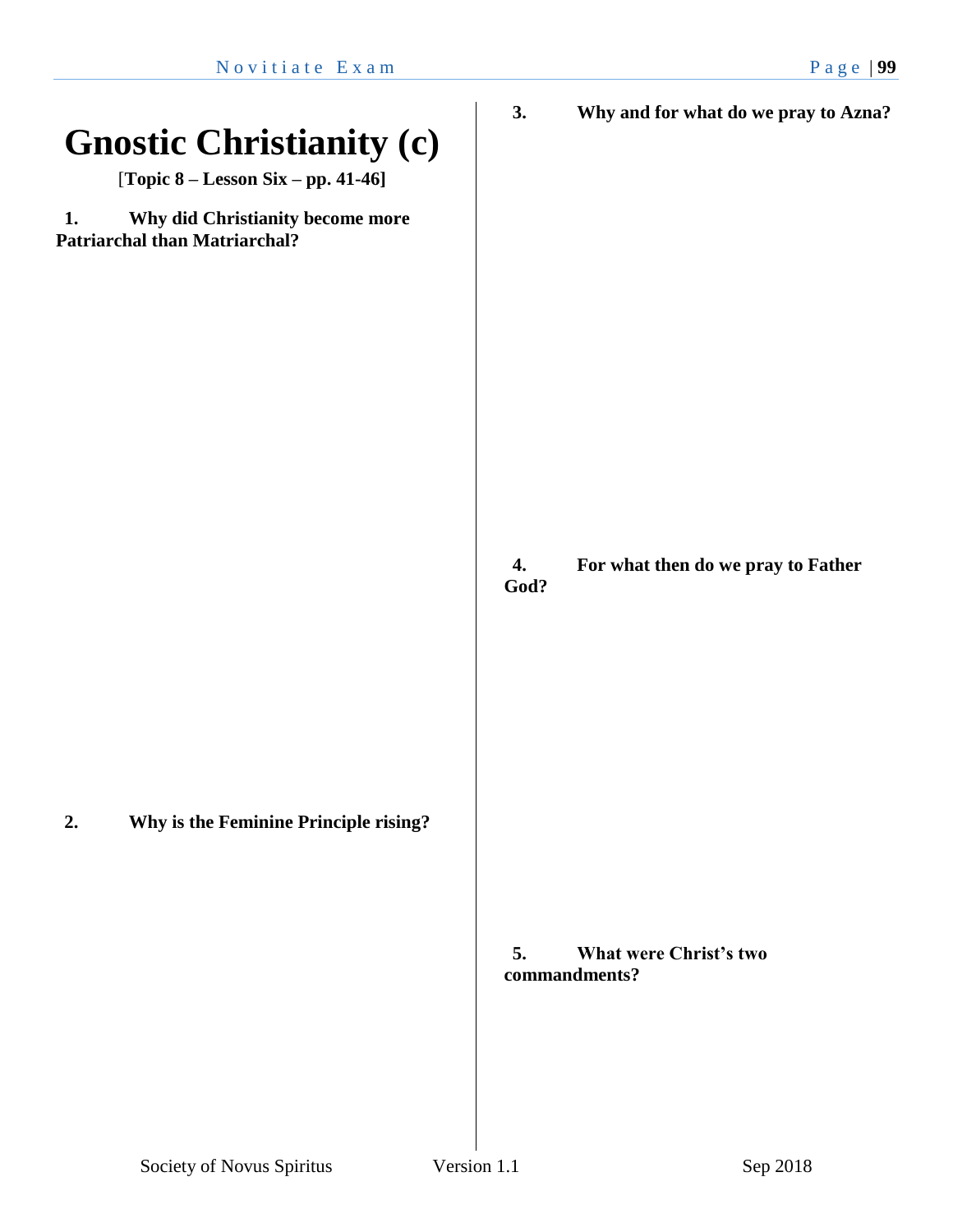| <b>Gnostic Christianity (c)</b><br>[Topic $8 -$ Lesson Six - pp. 41-46]        | 3.<br>Why and for what do we pray to Azna?           |
|--------------------------------------------------------------------------------|------------------------------------------------------|
| Why did Christianity become more<br>1.<br><b>Patriarchal than Matriarchal?</b> |                                                      |
|                                                                                | For what then do we pray to Father<br>4.<br>God?     |
| Why is the Feminine Principle rising?<br>2.                                    | <b>What were Christ's two</b><br>5.<br>commandments? |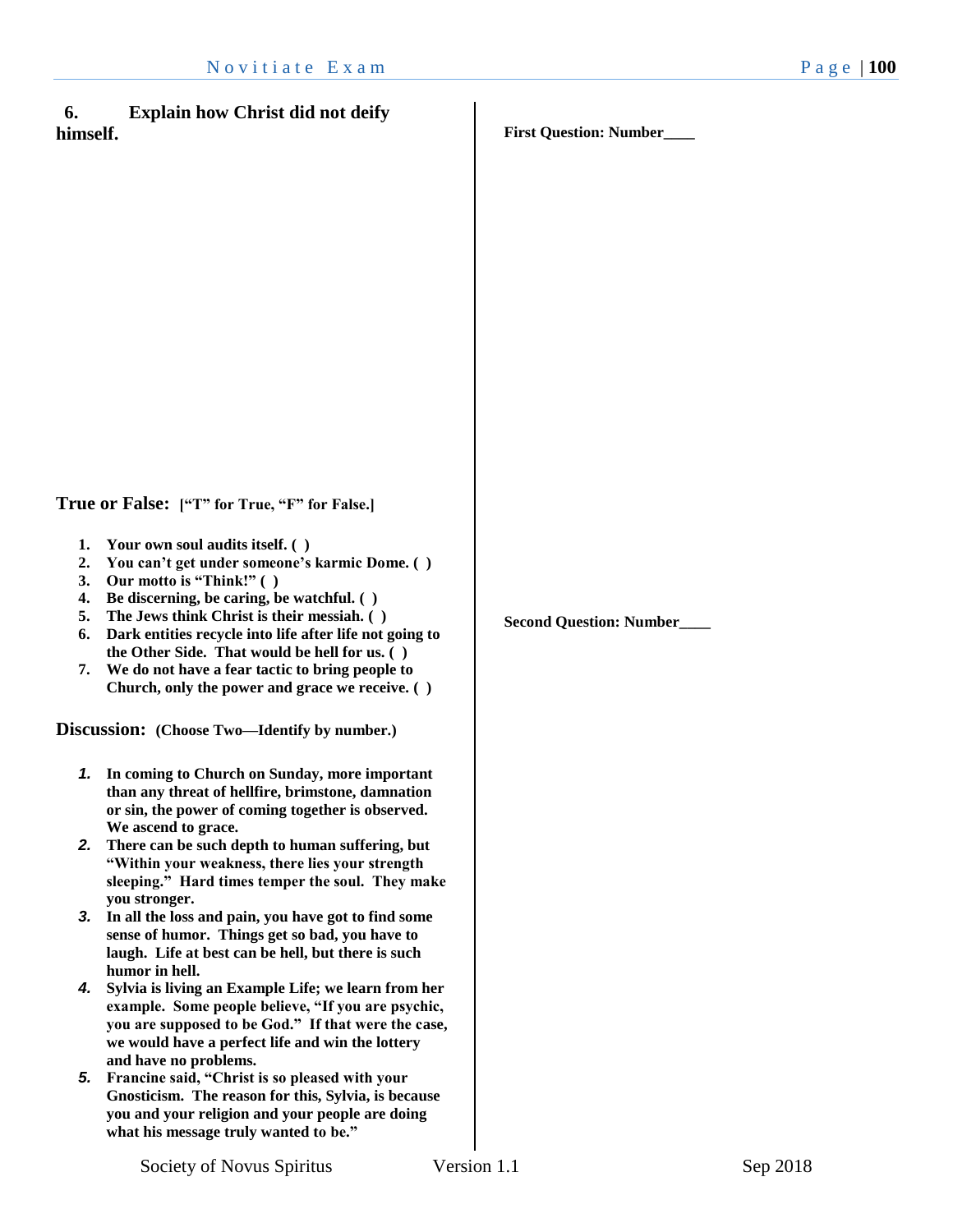#### **6. Explain how Christ did not deify himself.**

**First Question: Number\_\_\_\_**

**True or False: ["T" for True, "F" for False.]**

- **1. Your own soul audits itself. ( )**
- **2. You can't get under someone's karmic Dome. ( )**
- **3. Our motto is "Think!" ( )**
- **4. Be discerning, be caring, be watchful. ( )**
- **5. The Jews think Christ is their messiah. ( )**
- **6. Dark entities recycle into life after life not going to the Other Side. That would be hell for us. ( )**
- **7. We do not have a fear tactic to bring people to Church, only the power and grace we receive. ( )**

**Discussion: (Choose Two—Identify by number.)**

- *1.* **In coming to Church on Sunday, more important than any threat of hellfire, brimstone, damnation or sin, the power of coming together is observed. We ascend to grace.**
- *2.* **There can be such depth to human suffering, but "Within your weakness, there lies your strength sleeping." Hard times temper the soul. They make you stronger.**
- *3.* **In all the loss and pain, you have got to find some sense of humor. Things get so bad, you have to laugh. Life at best can be hell, but there is such humor in hell.**
- *4.* **Sylvia is living an Example Life; we learn from her example. Some people believe, "If you are psychic, you are supposed to be God." If that were the case, we would have a perfect life and win the lottery and have no problems.**
- *5.* **Francine said, "Christ is so pleased with your Gnosticism. The reason for this, Sylvia, is because you and your religion and your people are doing what his message truly wanted to be."**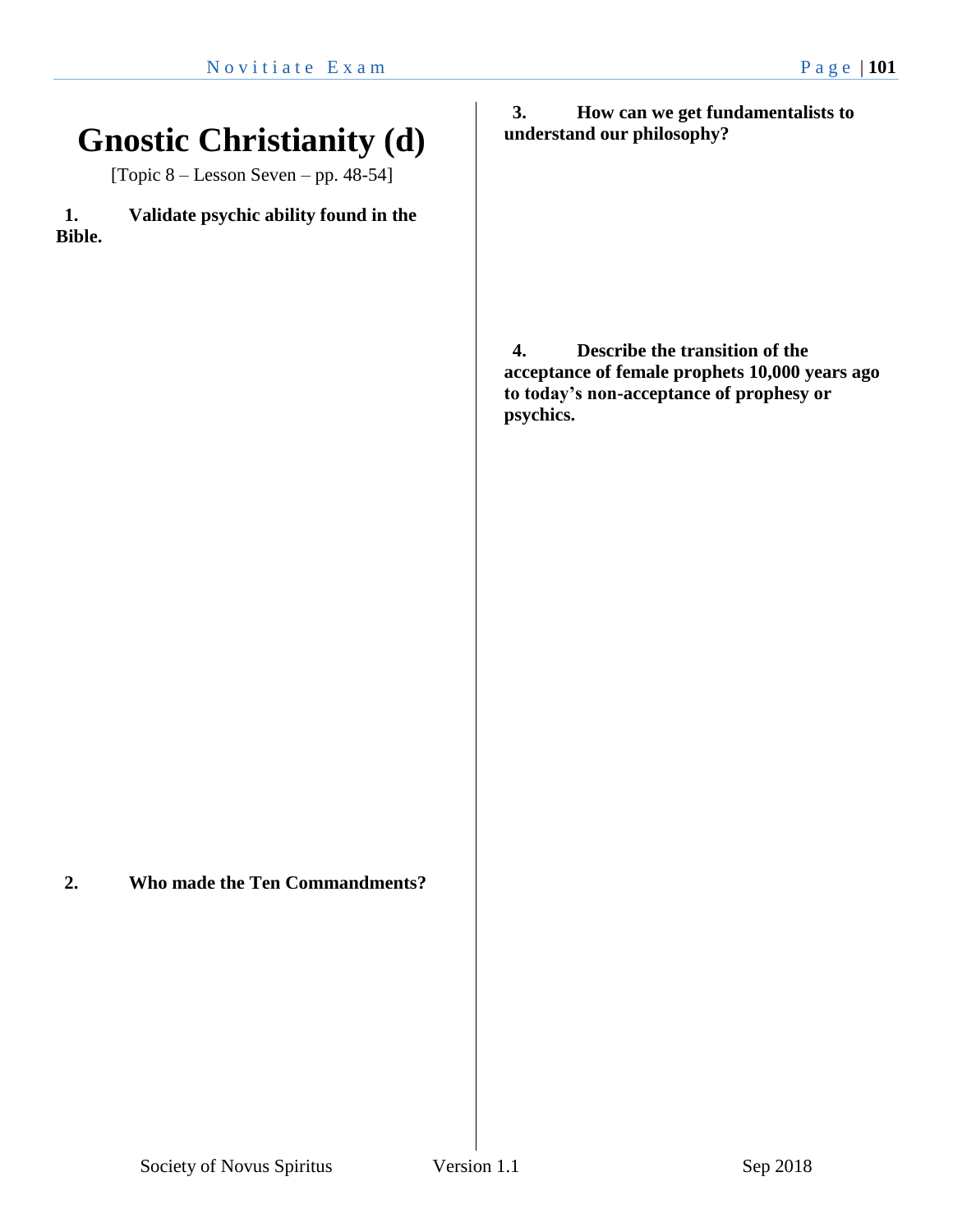### **Gnostic Christianity (d)**

[Topic  $8 -$  Lesson Seven – pp. 48-54]

**1. Validate psychic ability found in the Bible.**

**2. Who made the Ten Commandments?**

**3. How can we get fundamentalists to understand our philosophy?**

**4. Describe the transition of the acceptance of female prophets 10,000 years ago to today's non-acceptance of prophesy or psychics.**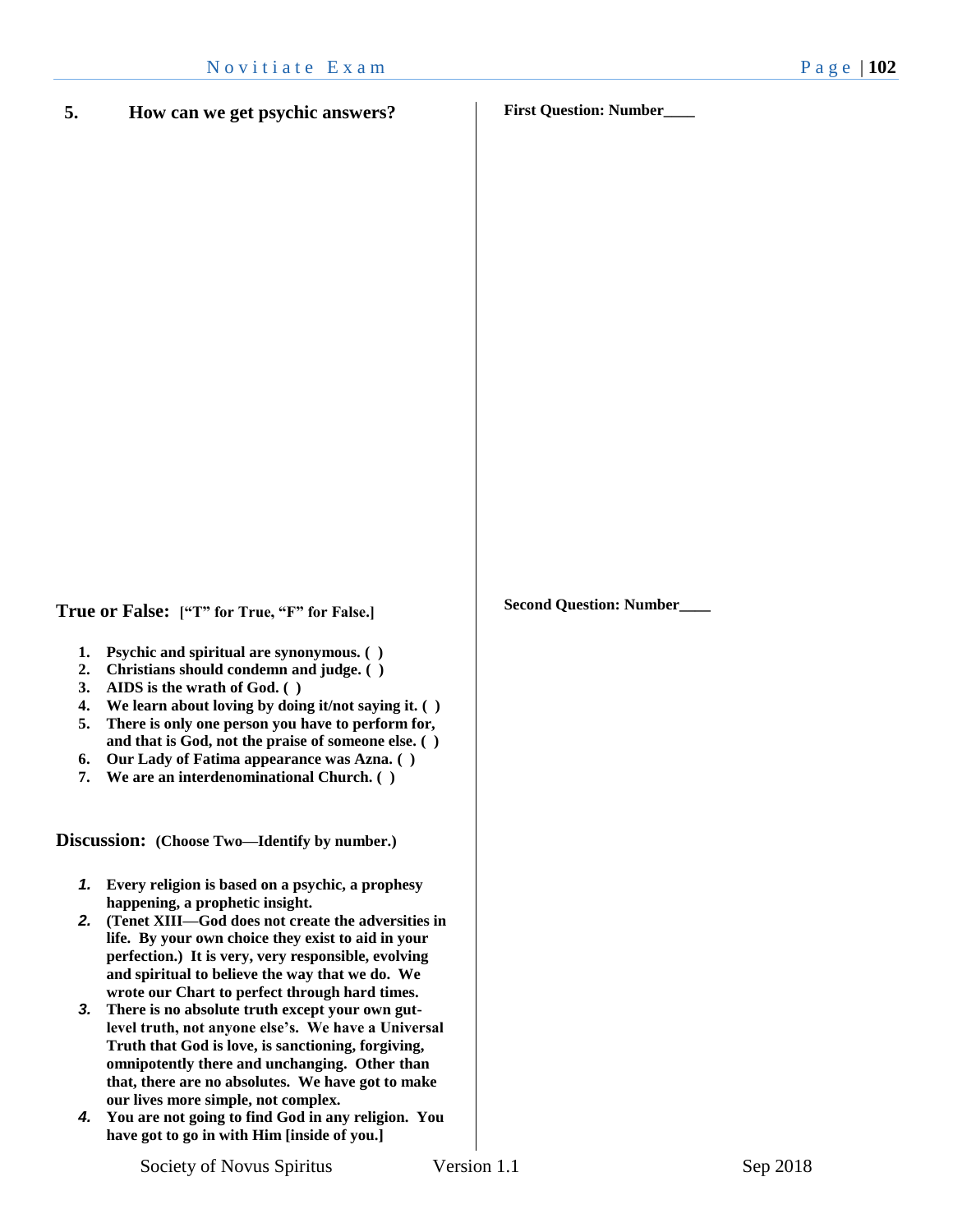**5. How can we get psychic answers?**

**First Question: Number\_\_\_\_**

**Second Question: Number\_\_\_\_**

**True or False: ["T" for True, "F" for False.]**

- **1. Psychic and spiritual are synonymous. ( )**
- **2. Christians should condemn and judge. ( )**
- **3. AIDS is the wrath of God. ( )**
- **4. We learn about loving by doing it/not saying it. ( )**
- **5. There is only one person you have to perform for, and that is God, not the praise of someone else. ( )**
- **6. Our Lady of Fatima appearance was Azna. ( )**
- **7. We are an interdenominational Church. ( )**

**Discussion: (Choose Two—Identify by number.)**

- *1.* **Every religion is based on a psychic, a prophesy happening, a prophetic insight.**
- *2.* **(Tenet XIII—God does not create the adversities in life. By your own choice they exist to aid in your perfection.) It is very, very responsible, evolving and spiritual to believe the way that we do. We wrote our Chart to perfect through hard times.**
- *3.* **There is no absolute truth except your own gutlevel truth, not anyone else's. We have a Universal Truth that God is love, is sanctioning, forgiving, omnipotently there and unchanging. Other than that, there are no absolutes. We have got to make our lives more simple, not complex.**
- *4.* **You are not going to find God in any religion. You have got to go in with Him [inside of you.]**

Society of Novus Spiritus Version 1.1 Sep 2018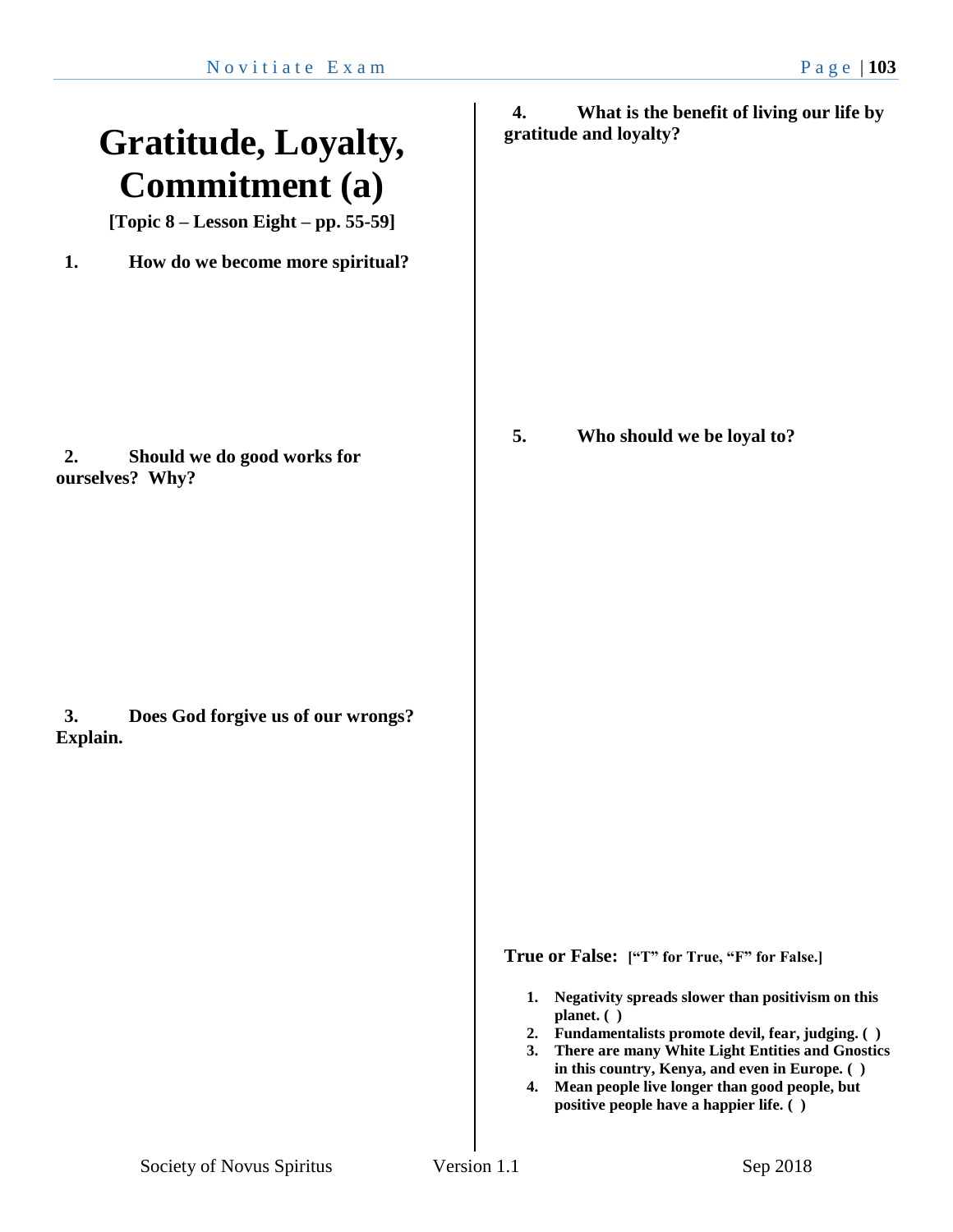### **Gratitude, Loyalty, Commitment (a)**

**[Topic 8 – Lesson Eight – pp. 55-59]**

**1. How do we become more spiritual?**

**2. Should we do good works for ourselves? Why?**

**3. Does God forgive us of our wrongs? Explain.**

**4. What is the benefit of living our life by gratitude and loyalty?**

**5. Who should we be loyal to?**

**True or False: ["T" for True, "F" for False.]**

- **1. Negativity spreads slower than positivism on this planet. ( )**
- **2. Fundamentalists promote devil, fear, judging. ( )**
- **3. There are many White Light Entities and Gnostics in this country, Kenya, and even in Europe. ( )**
- **4. Mean people live longer than good people, but positive people have a happier life. ( )**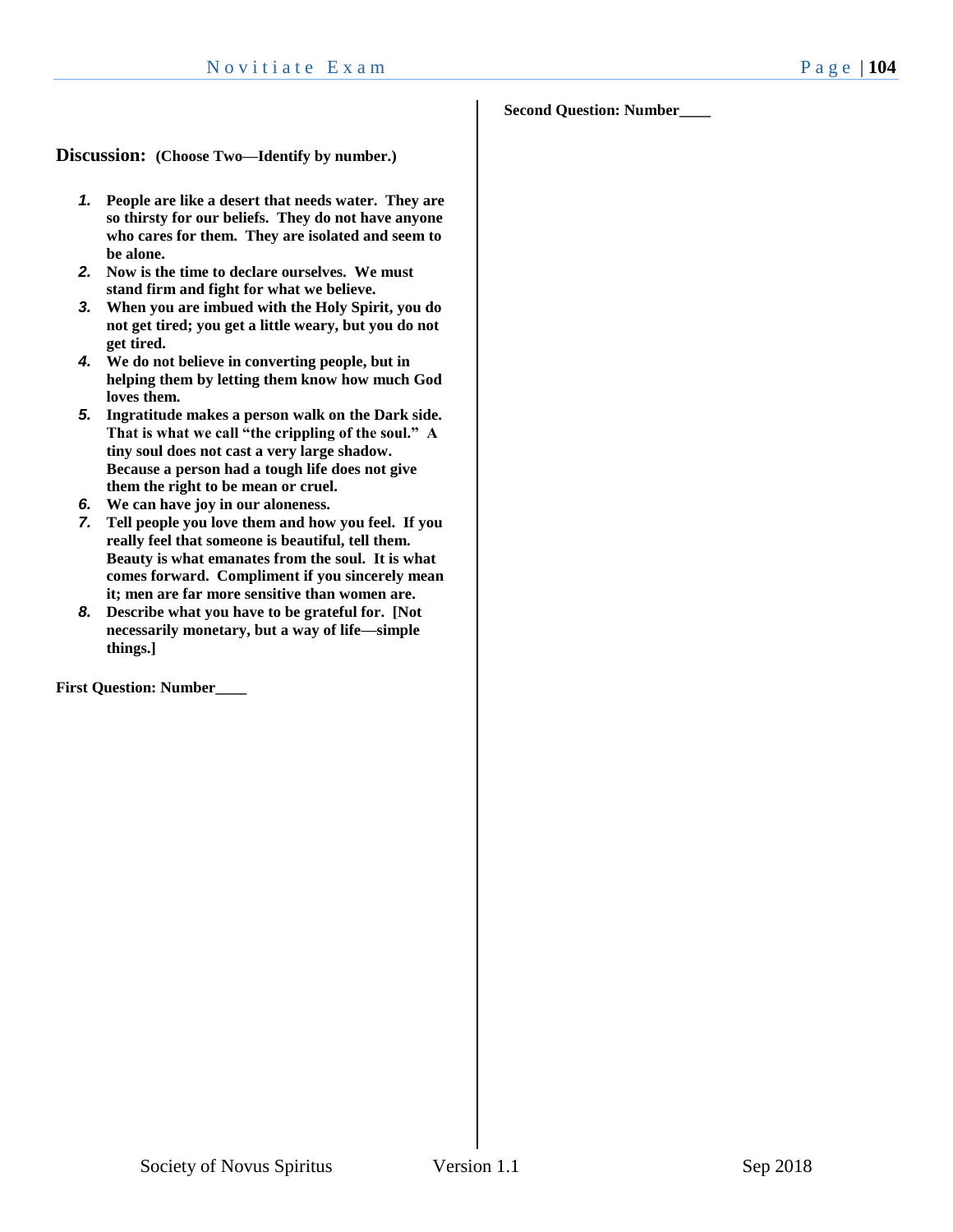#### **Second Question: Number\_\_\_\_**

**Discussion: (Choose Two—Identify by number.)**

- *1.* **People are like a desert that needs water. They are so thirsty for our beliefs. They do not have anyone who cares for them. They are isolated and seem to be alone.**
- *2.* **Now is the time to declare ourselves. We must stand firm and fight for what we believe.**
- *3.* **When you are imbued with the Holy Spirit, you do not get tired; you get a little weary, but you do not get tired.**
- *4.* **We do not believe in converting people, but in helping them by letting them know how much God loves them.**
- *5.* **Ingratitude makes a person walk on the Dark side. That is what we call "the crippling of the soul." A tiny soul does not cast a very large shadow. Because a person had a tough life does not give them the right to be mean or cruel.**
- *6.* **We can have joy in our aloneness.**
- *7.* **Tell people you love them and how you feel. If you really feel that someone is beautiful, tell them. Beauty is what emanates from the soul. It is what comes forward. Compliment if you sincerely mean it; men are far more sensitive than women are.**
- *8.* **Describe what you have to be grateful for. [Not necessarily monetary, but a way of life—simple things.]**

**First Question: Number\_\_\_\_**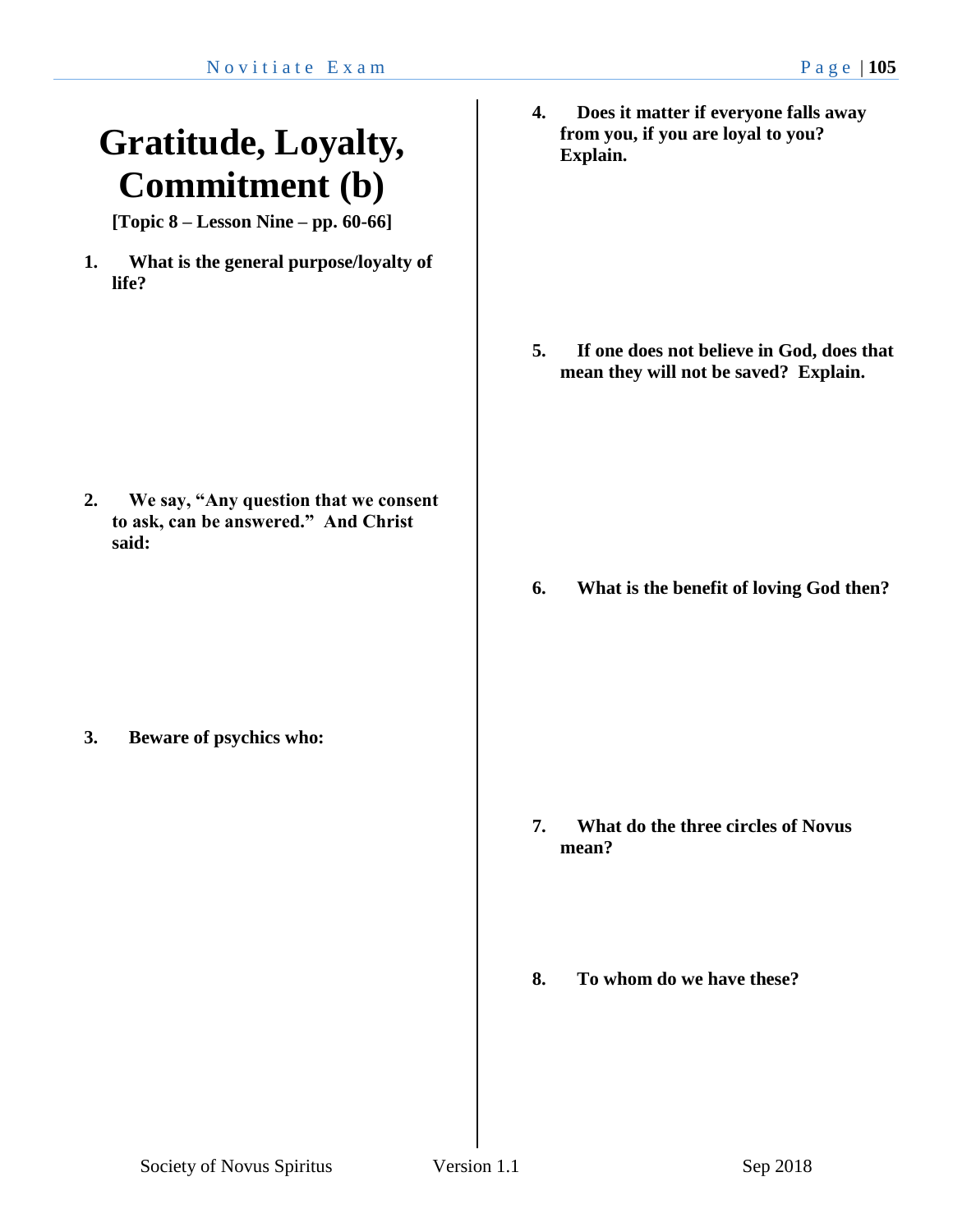### **Gratitude, Loyalty, Commitment (b)**

**[Topic 8 – Lesson Nine – pp. 60-66]**

**1. What is the general purpose/loyalty of life?** 

**2. We say, "Any question that we consent to ask, can be answered." And Christ said:**

**3. Beware of psychics who:**

**4. Does it matter if everyone falls away from you, if you are loyal to you? Explain.**

**5. If one does not believe in God, does that mean they will not be saved? Explain.**

**6. What is the benefit of loving God then?**

- **7. What do the three circles of Novus mean?**
- **8. To whom do we have these?**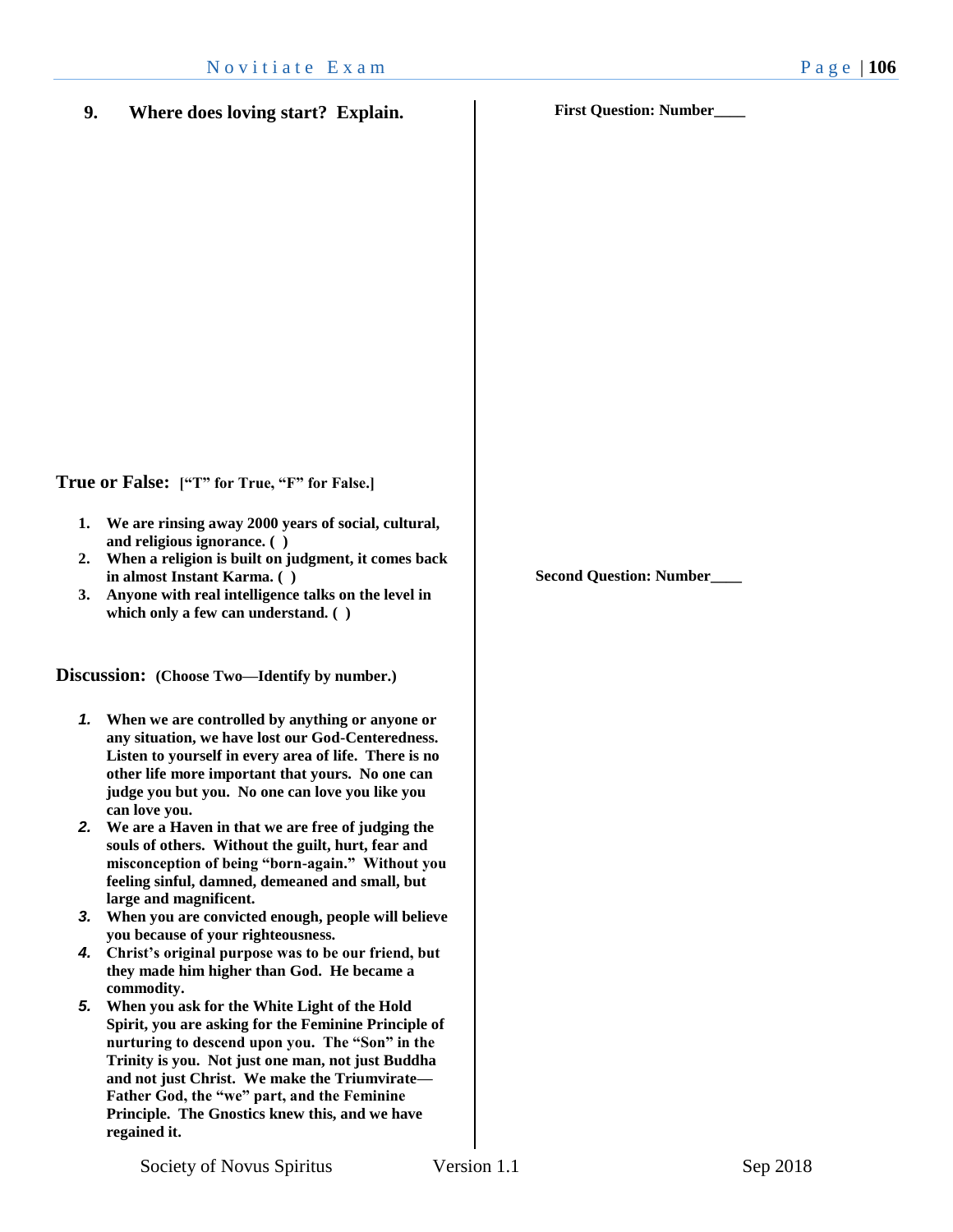- **1. We are rinsing away 2000 years of social, cultural, and religious ignorance. ( )**
- **2. When a religion is built on judgment, it comes back in almost Instant Karma. ( )**
- **3. Anyone with real intelligence talks on the level in which only a few can understand. ( )**

**Discussion: (Choose Two—Identify by number.)**

- *1.* **When we are controlled by anything or anyone or any situation, we have lost our God-Centeredness. Listen to yourself in every area of life. There is no other life more important that yours. No one can judge you but you. No one can love you like you can love you.**
- *2.* **We are a Haven in that we are free of judging the souls of others. Without the guilt, hurt, fear and misconception of being "born-again." Without you feeling sinful, damned, demeaned and small, but large and magnificent.**
- *3.* **When you are convicted enough, people will believe you because of your righteousness.**
- *4.* **Christ's original purpose was to be our friend, but they made him higher than God. He became a commodity.**
- *5.* **When you ask for the White Light of the Hold Spirit, you are asking for the Feminine Principle of nurturing to descend upon you. The "Son" in the Trinity is you. Not just one man, not just Buddha and not just Christ. We make the Triumvirate— Father God, the "we" part, and the Feminine Principle. The Gnostics knew this, and we have regained it.**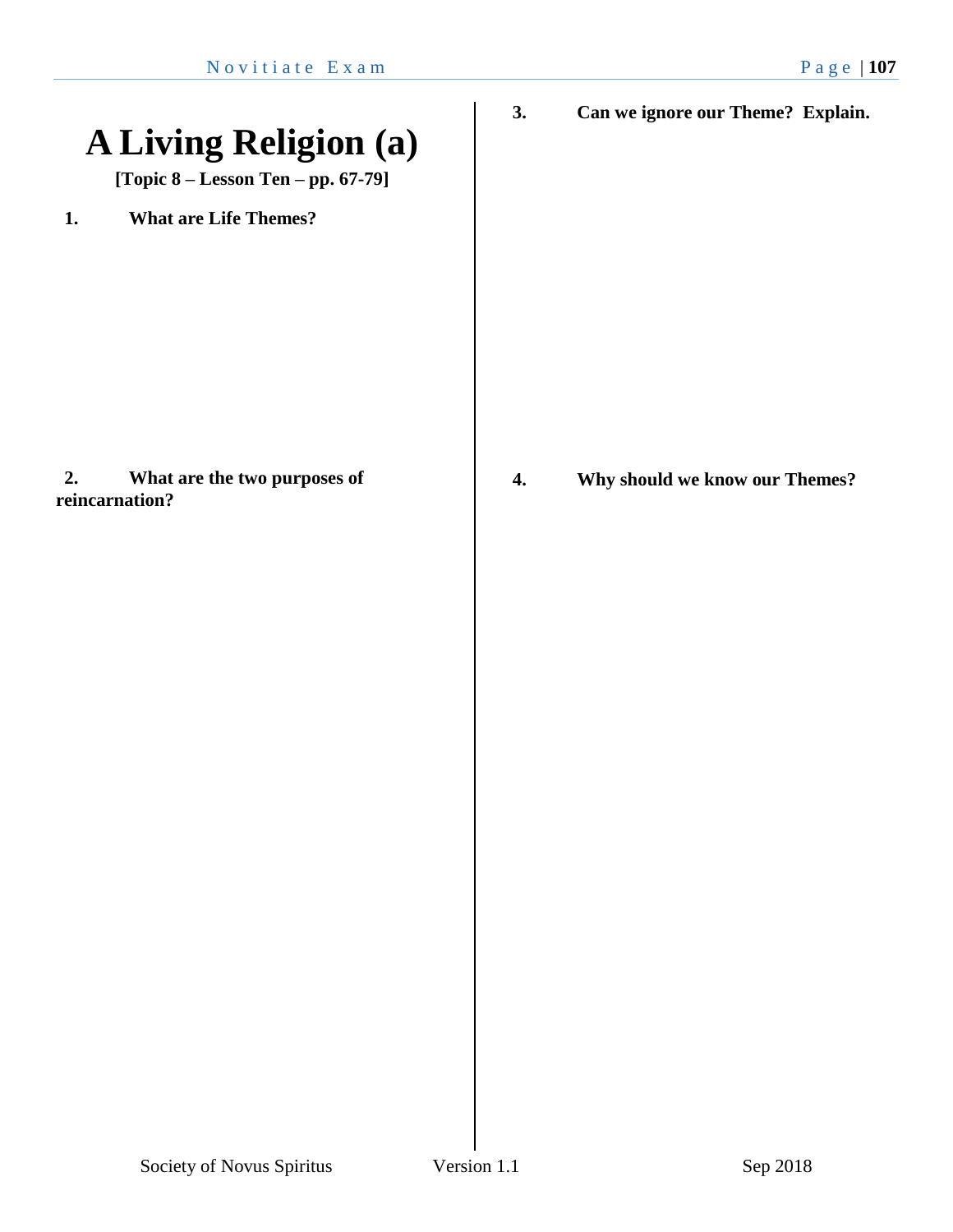### **A Living Religion (a)**

**[Topic 8 – Lesson Ten – pp. 67-79]**

**1. What are Life Themes?**

#### **2. What are the two purposes of reincarnation?**

**3. Can we ignore our Theme? Explain.**

**4. Why should we know our Themes?**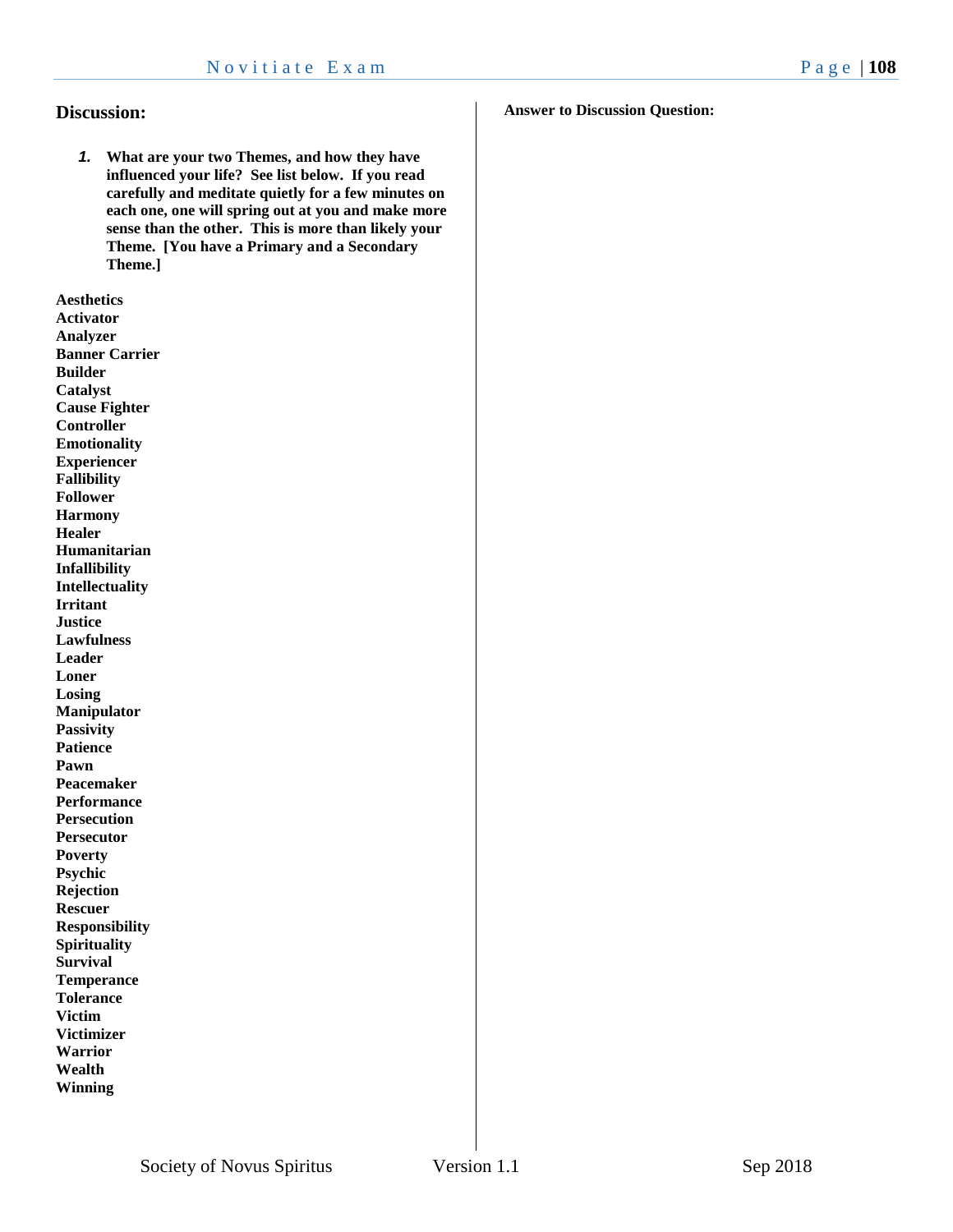#### **Discussion:**

*1.* **What are your two Themes, and how they have influenced your life? See list below. If you read carefully and meditate quietly for a few minutes on each one, one will spring out at you and make more sense than the other. This is more than likely your Theme. [You have a Primary and a Secondary Theme.]**

**Aesthetics Activator Analyzer Banner Carrier Builder Catalyst Cause Fighter Controller Emotionality Experiencer Fallibility Follower Harmony Healer Humanitarian Infallibility Intellectuality Irritant Justice Lawfulness Leader Loner Losing Manipulator Passivity Patience Pawn Peacemaker Performance Persecution Persecutor Poverty Psychic Rejection Rescuer Responsibility Spirituality Survival Temperance Tolerance Victim Victimizer Warrior Wealth Winning**

#### **Answer to Discussion Question:**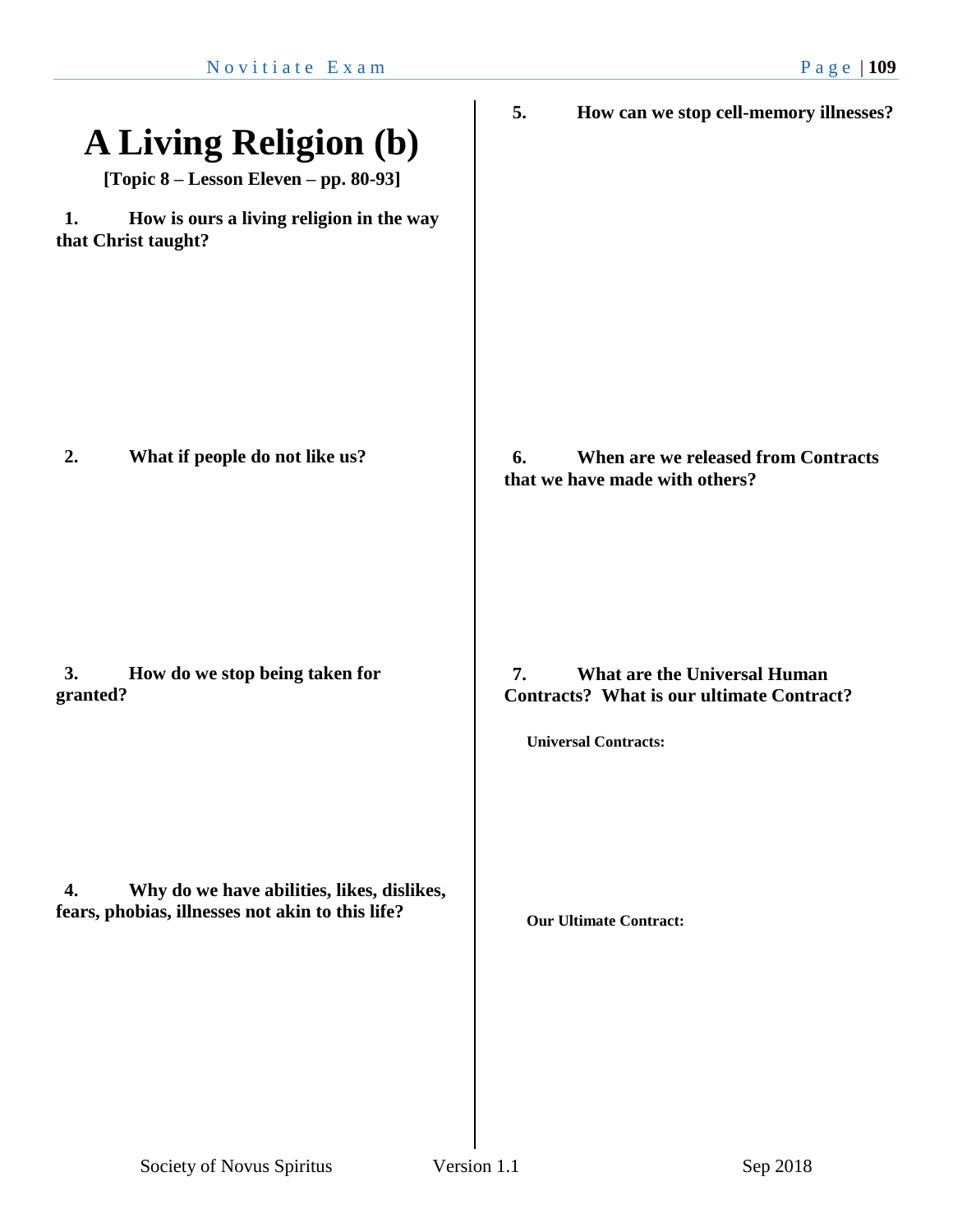| <b>A Living Religion (b)</b><br>[Topic 8 – Lesson Eleven – pp. 80-93]                                | 5.<br>How can we stop cell-memory illnesses?                                                                          |
|------------------------------------------------------------------------------------------------------|-----------------------------------------------------------------------------------------------------------------------|
| How is ours a living religion in the way<br>1.<br>that Christ taught?                                |                                                                                                                       |
| What if people do not like us?<br>2.                                                                 | 6.<br>When are we released from Contracts<br>that we have made with others?                                           |
| How do we stop being taken for<br>3.<br>granted?                                                     | What are the Universal Human<br>7.<br><b>Contracts?</b> What is our ultimate Contract?<br><b>Universal Contracts:</b> |
| Why do we have abilities, likes, dislikes,<br>4.<br>fears, phobias, illnesses not akin to this life? | <b>Our Ultimate Contract:</b>                                                                                         |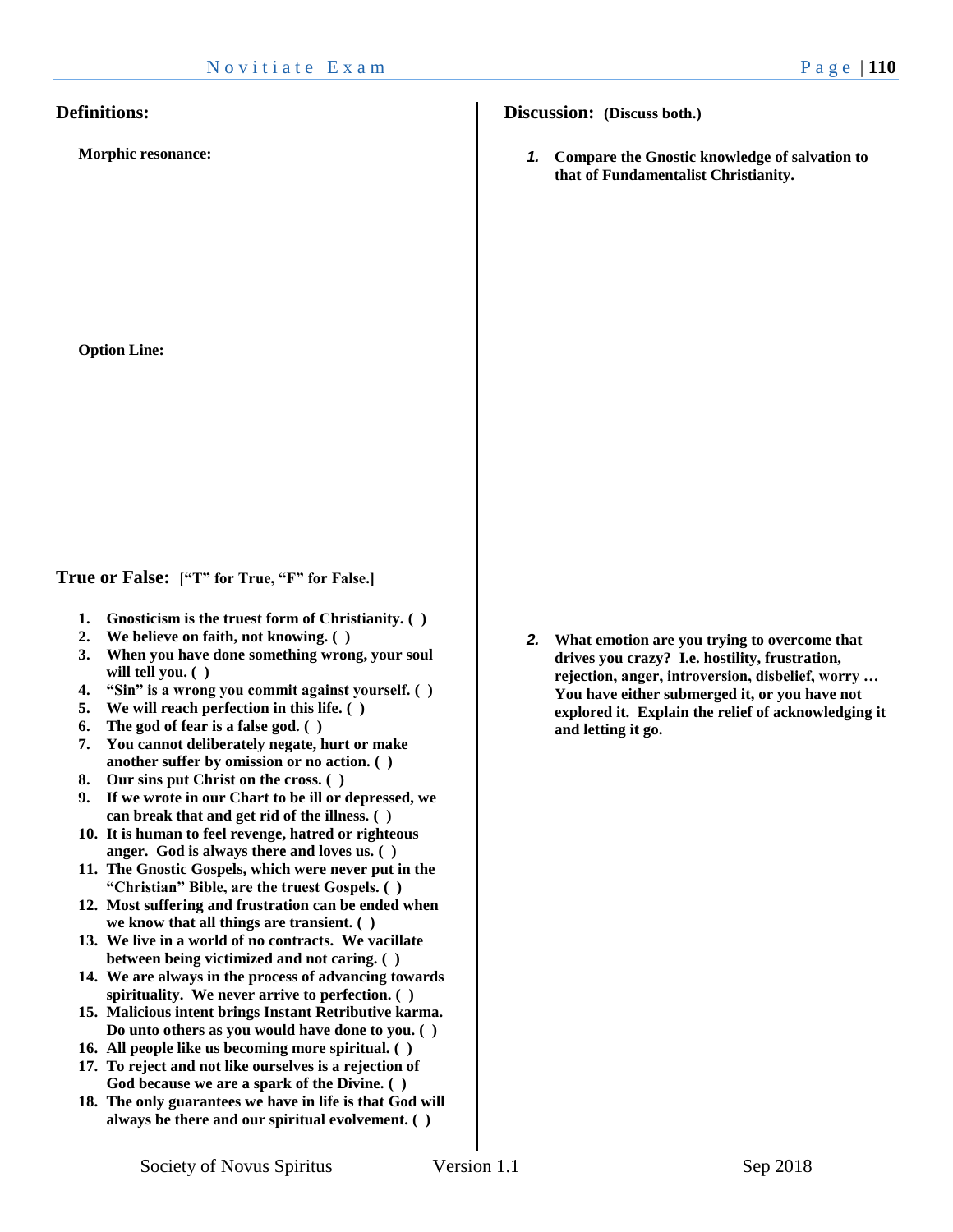#### **Definitions:**

**Morphic resonance:**

**Option Line:**

**True or False: ["T" for True, "F" for False.]**

- **1. Gnosticism is the truest form of Christianity. ( )**
- **2. We believe on faith, not knowing. ( )**
- **3. When you have done something wrong, your soul will tell you. ( )**
- **4. "Sin" is a wrong you commit against yourself. ( )**
- **5. We will reach perfection in this life. ( )**
- **6. The god of fear is a false god. ( )**
- **7. You cannot deliberately negate, hurt or make another suffer by omission or no action. ( )**
- **8. Our sins put Christ on the cross. ( )**
- **9. If we wrote in our Chart to be ill or depressed, we can break that and get rid of the illness. ( )**
- **10. It is human to feel revenge, hatred or righteous anger. God is always there and loves us. ( )**
- **11. The Gnostic Gospels, which were never put in the "Christian" Bible, are the truest Gospels. ( )**
- **12. Most suffering and frustration can be ended when we know that all things are transient. ( )**
- **13. We live in a world of no contracts. We vacillate between being victimized and not caring. ( )**
- **14. We are always in the process of advancing towards spirituality. We never arrive to perfection. ( )**
- **15. Malicious intent brings Instant Retributive karma. Do unto others as you would have done to you. ( )**
- **16. All people like us becoming more spiritual. ( )**
- **17. To reject and not like ourselves is a rejection of God because we are a spark of the Divine. ( )**
- **18. The only guarantees we have in life is that God will always be there and our spiritual evolvement. ( )**

**Discussion: (Discuss both.)**

*1.* **Compare the Gnostic knowledge of salvation to that of Fundamentalist Christianity.** 

*2.* **What emotion are you trying to overcome that drives you crazy? I.e. hostility, frustration, rejection, anger, introversion, disbelief, worry … You have either submerged it, or you have not explored it. Explain the relief of acknowledging it and letting it go.**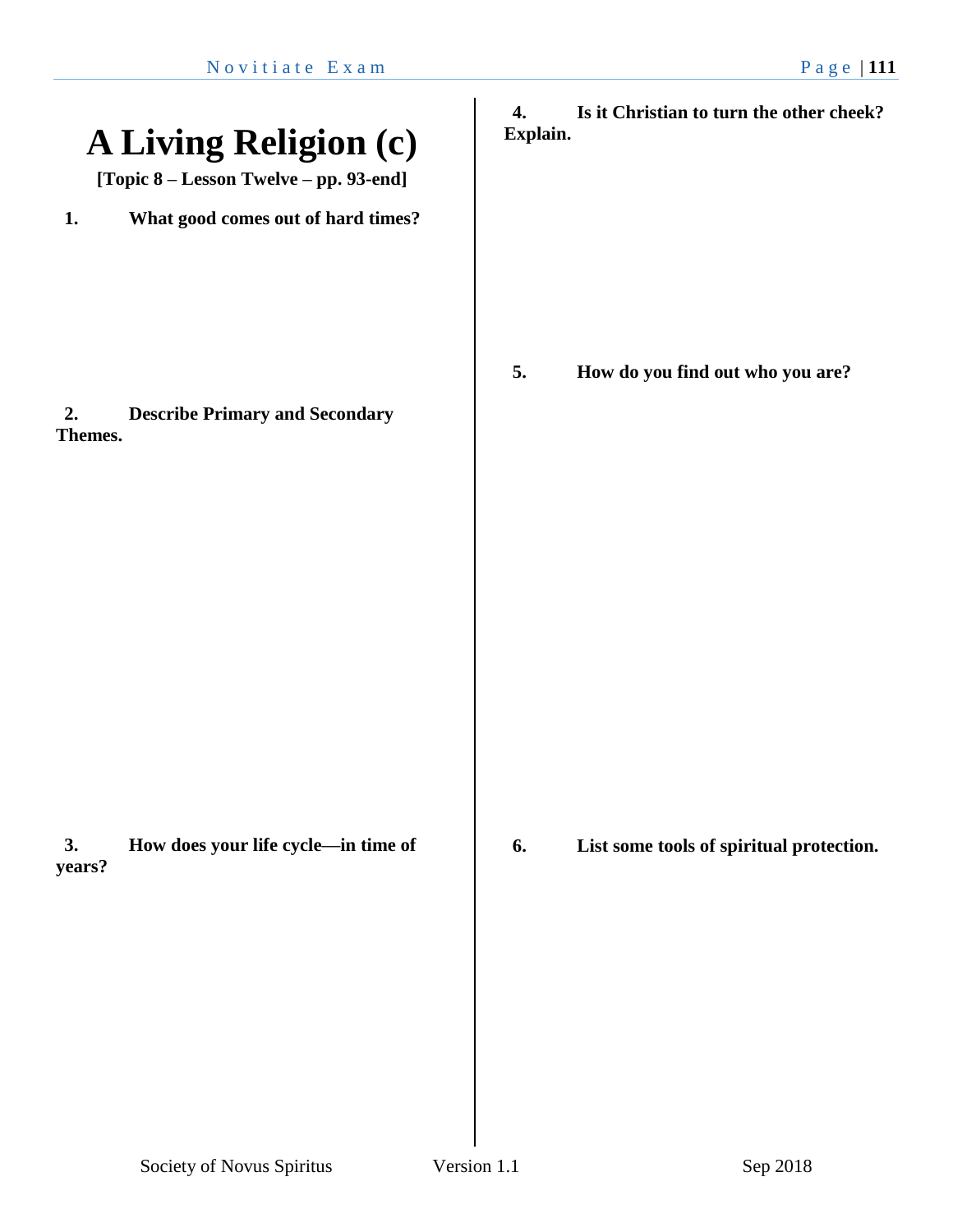| <b>A Living Religion (c)</b><br>[Topic 8 - Lesson Twelve - pp. 93-end]                             | Is it Christian to turn the other cheek?<br>4.<br>Explain. |
|----------------------------------------------------------------------------------------------------|------------------------------------------------------------|
| What good comes out of hard times?<br>1.<br><b>Describe Primary and Secondary</b><br>2.<br>Themes. | 5.<br>How do you find out who you are?                     |
| 3.<br>How does your life cycle-in time of<br>years?                                                | 6.<br>List some tools of spiritual protection.             |